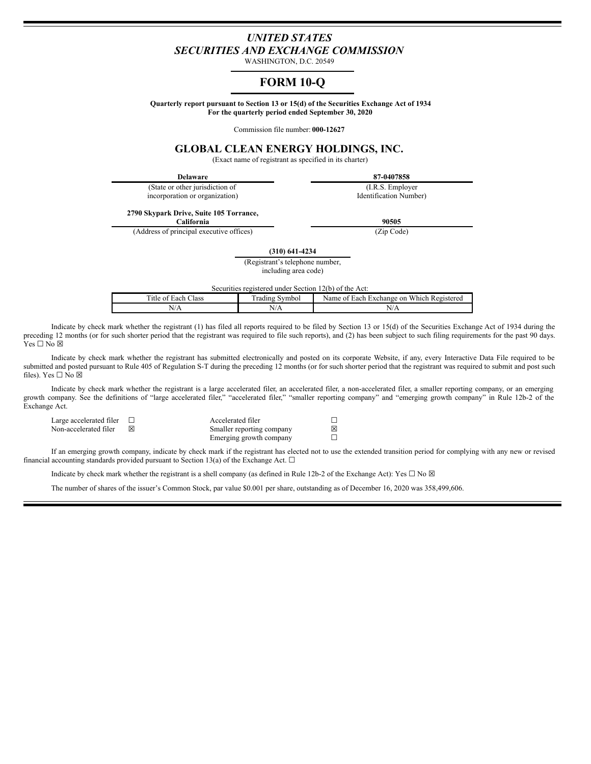# *UNITED STATES SECURITIES AND EXCHANGE COMMISSION*

WASHINGTON, D.C. 20549

# **FORM 10-Q**

**Quarterly report pursuant to Section 13 or 15(d) of the Securities Exchange Act of 1934 For the quarterly period ended September 30, 2020**

Commission file number: **000-12627**

# **GLOBAL CLEAN ENERGY HOLDINGS, INC.**

(Exact name of registrant as specified in its charter)

**Delaware 87-0407858**

(State or other jurisdiction of incorporation or organization)

(I.R.S. Employer Identification Number)

**2790 Skypark Drive, Suite 105 Torrance, California 90505**

(Address of principal executive offices) (Zip Code)

**(310) 641-4234**

(Registrant's telephone number, including area code)

Securities registered under Section 12(b) of the Act:

| Title of Each Class | radıng<br>Symbol | Name of Each Exchange on Which Registered |
|---------------------|------------------|-------------------------------------------|
| $\mathbf{V}$        | N/A              | N/A                                       |

Indicate by check mark whether the registrant (1) has filed all reports required to be filed by Section 13 or 15(d) of the Securities Exchange Act of 1934 during the preceding 12 months (or for such shorter period that the registrant was required to file such reports), and (2) has been subject to such filing requirements for the past 90 days.  $Yes \Box No \boxtimes$ 

Indicate by check mark whether the registrant has submitted electronically and posted on its corporate Website, if any, every Interactive Data File required to be submitted and posted pursuant to Rule 405 of Regulation S-T during the preceding 12 months (or for such shorter period that the registrant was required to submit and post such files). Yes  $\square$  No  $\boxtimes$ 

Indicate by check mark whether the registrant is a large accelerated filer, an accelerated filer, a non-accelerated filer, a smaller reporting company, or an emerging growth company. See the definitions of "large accelerated filer," "accelerated filer," "smaller reporting company" and "emerging growth company" in Rule 12b-2 of the Exchange Act.

Large accelerated filer <del>□</del><br>Non-accelerated filer **□** Accelerated filer **□** Accelerated filer

Smaller reporting company Emerging growth company

If an emerging growth company, indicate by check mark if the registrant has elected not to use the extended transition period for complying with any new or revised financial accounting standards provided pursuant to Section 13(a) of the Exchange Act.  $\Box$ 

Indicate by check mark whether the registrant is a shell company (as defined in Rule 12b-2 of the Exchange Act): Yes  $\Box$  No  $\boxtimes$ 

The number of shares of the issuer's Common Stock, par value \$0.001 per share, outstanding as of December 16, 2020 was 358,499,606.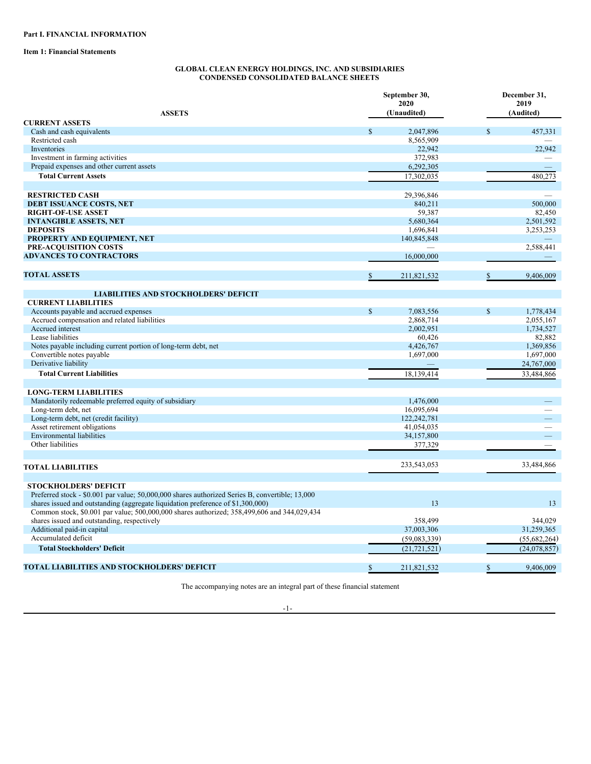**Item 1: Financial Statements**

#### **GLOBAL CLEAN ENERGY HOLDINGS, INC. AND SUBSIDIARIES CONDENSED CONSOLIDATED BALANCE SHEETS**

| <b>ASSETS</b>                                                                                   | September 30,<br>2020<br>(Unaudited) |              | December 31,<br>2019<br>(Audited) |
|-------------------------------------------------------------------------------------------------|--------------------------------------|--------------|-----------------------------------|
| <b>CURRENT ASSETS</b>                                                                           |                                      |              |                                   |
| Cash and cash equivalents                                                                       | \$<br>2,047,896                      | $\mathbf S$  | 457,331                           |
| Restricted cash                                                                                 | 8,565,909                            |              |                                   |
| Inventories                                                                                     | 22,942                               |              | 22.942                            |
| Investment in farming activities                                                                | 372,983                              |              |                                   |
| Prepaid expenses and other current assets                                                       | 6,292,305                            |              | -                                 |
| <b>Total Current Assets</b>                                                                     | 17,302,035                           |              | 480,273                           |
|                                                                                                 |                                      |              |                                   |
| <b>RESTRICTED CASH</b>                                                                          | 29,396,846                           |              |                                   |
| <b>DEBT ISSUANCE COSTS, NET</b>                                                                 | 840,211                              |              | 500,000                           |
| <b>RIGHT-OF-USE ASSET</b>                                                                       | 59,387                               |              | 82,450                            |
| <b>INTANGIBLE ASSETS, NET</b>                                                                   | 5,680,364                            |              | 2,501,592                         |
| <b>DEPOSITS</b>                                                                                 | 1,696,841                            |              | 3,253,253                         |
| PROPERTY AND EQUIPMENT, NET                                                                     | 140,845,848                          |              |                                   |
| PRE-ACQUISITION COSTS                                                                           |                                      |              | 2,588,441                         |
| <b>ADVANCES TO CONTRACTORS</b>                                                                  | 16,000,000                           |              |                                   |
|                                                                                                 |                                      |              |                                   |
| <b>TOTAL ASSETS</b>                                                                             | \$<br>211,821,532                    | \$           | 9,406,009                         |
| <b>LIABILITIES AND STOCKHOLDERS' DEFICIT</b>                                                    |                                      |              |                                   |
| <b>CURRENT LIABILITIES</b>                                                                      |                                      |              |                                   |
|                                                                                                 | \$<br>7,083,556                      | $\mathbb{S}$ | 1,778,434                         |
| Accounts payable and accrued expenses<br>Accrued compensation and related liabilities           |                                      |              | 2,055,167                         |
| Accrued interest                                                                                | 2,868,714                            |              |                                   |
| Lease liabilities                                                                               | 2,002,951                            |              | 1,734,527<br>82,882               |
|                                                                                                 | 60,426                               |              |                                   |
| Notes payable including current portion of long-term debt, net                                  | 4,426,767                            |              | 1,369,856                         |
| Convertible notes payable                                                                       | 1,697,000                            |              | 1,697,000                         |
| Derivative liability                                                                            |                                      |              | 24,767,000                        |
| <b>Total Current Liabilities</b>                                                                | 18,139,414                           |              | 33,484,866                        |
|                                                                                                 |                                      |              |                                   |
| <b>LONG-TERM LIABILITIES</b>                                                                    |                                      |              |                                   |
| Mandatorily redeemable preferred equity of subsidiary                                           | 1,476,000                            |              |                                   |
| Long-term debt, net                                                                             | 16,095,694                           |              |                                   |
| Long-term debt, net (credit facility)                                                           | 122,242,781                          |              |                                   |
| Asset retirement obligations                                                                    | 41,054,035                           |              |                                   |
| Environmental liabilities                                                                       | 34,157,800                           |              |                                   |
| Other liabilities                                                                               | 377,329                              |              |                                   |
|                                                                                                 |                                      |              |                                   |
| <b>TOTAL LIABILITIES</b>                                                                        | 233,543,053                          |              | 33,484,866                        |
|                                                                                                 |                                      |              |                                   |
| <b>STOCKHOLDERS' DEFICIT</b>                                                                    |                                      |              |                                   |
| Preferred stock - \$0.001 par value; 50,000,000 shares authorized Series B, convertible; 13,000 |                                      |              |                                   |
| shares issued and outstanding (aggregate liquidation preference of \$1,300,000)                 | 13                                   |              | 13                                |
| Common stock, \$0.001 par value; 500,000,000 shares authorized; 358,499,606 and 344,029,434     |                                      |              |                                   |
| shares issued and outstanding, respectively                                                     | 358,499                              |              | 344,029                           |
| Additional paid-in capital                                                                      | 37,003,306                           |              | 31,259,365                        |
| Accumulated deficit                                                                             | (59,083,339)                         |              | (55,682,264)                      |
| <b>Total Stockholders' Deficit</b>                                                              | (21, 721, 521)                       |              | (24,078,857)                      |
| <b>TOTAL LIABILITIES AND STOCKHOLDERS' DEFICIT</b>                                              | \$<br>211,821,532                    | \$           | 9,406,009                         |
|                                                                                                 |                                      |              |                                   |

The accompanying notes are an integral part of these financial statement

-1-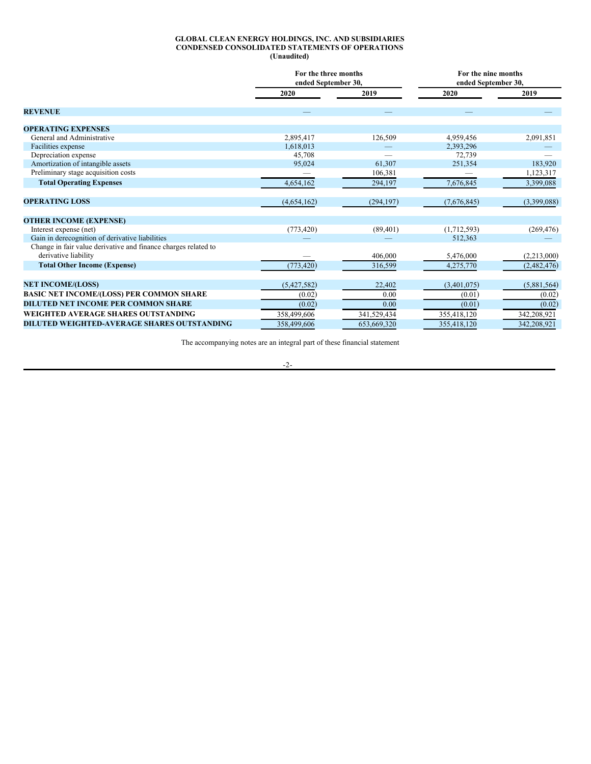#### **GLOBAL CLEAN ENERGY HOLDINGS, INC. AND SUBSIDIARIES CONDENSED CONSOLIDATED STATEMENTS OF OPERATIONS (Unaudited)**

|                                                                | For the three months<br>ended September 30, |             | For the nine months<br>ended September 30, |             |
|----------------------------------------------------------------|---------------------------------------------|-------------|--------------------------------------------|-------------|
|                                                                | 2020                                        | 2019        | 2020                                       | 2019        |
| <b>REVENUE</b>                                                 |                                             |             |                                            |             |
| <b>OPERATING EXPENSES</b>                                      |                                             |             |                                            |             |
| General and Administrative                                     | 2,895,417                                   | 126,509     | 4,959,456                                  | 2,091,851   |
| Facilities expense                                             | 1,618,013                                   |             | 2,393,296                                  |             |
| Depreciation expense                                           | 45,708                                      |             | 72.739                                     |             |
| Amortization of intangible assets                              | 95.024                                      | 61,307      | 251,354                                    | 183,920     |
| Preliminary stage acquisition costs                            |                                             | 106,381     |                                            | 1,123,317   |
| <b>Total Operating Expenses</b>                                | 4,654,162                                   | 294,197     | 7,676,845                                  | 3,399,088   |
| <b>OPERATING LOSS</b>                                          | (4,654,162)                                 | (294, 197)  | (7,676,845)                                | (3,399,088) |
| <b>OTHER INCOME (EXPENSE)</b>                                  |                                             |             |                                            |             |
| Interest expense (net)                                         | (773, 420)                                  | (89, 401)   | (1,712,593)                                | (269, 476)  |
| Gain in derecognition of derivative liabilities                |                                             |             | 512.363                                    |             |
| Change in fair value derivative and finance charges related to |                                             |             |                                            |             |
| derivative liability                                           |                                             | 406,000     | 5,476,000                                  | (2,213,000) |
| <b>Total Other Income (Expense)</b>                            | (773, 420)                                  | 316,599     | 4,275,770                                  | (2,482,476) |
| <b>NET INCOME/(LOSS)</b>                                       | (5,427,582)                                 | 22,402      | (3,401,075)                                | (5,881,564) |
| <b>BASIC NET INCOME/(LOSS) PER COMMON SHARE</b>                | (0.02)                                      | 0.00        | (0.01)                                     | (0.02)      |
| <b>DILUTED NET INCOME PER COMMON SHARE</b>                     | (0.02)                                      | 0.00        | (0.01)                                     | (0.02)      |
| WEIGHTED AVERAGE SHARES OUTSTANDING                            | 358,499,606                                 | 341,529,434 | 355,418,120                                |             |
|                                                                |                                             |             |                                            | 342,208,921 |
| DILUTED WEIGHTED-AVERAGE SHARES OUTSTANDING                    | 358,499,606                                 | 653,669,320 | 355,418,120                                | 342,208,921 |

The accompanying notes are an integral part of these financial statement

-2-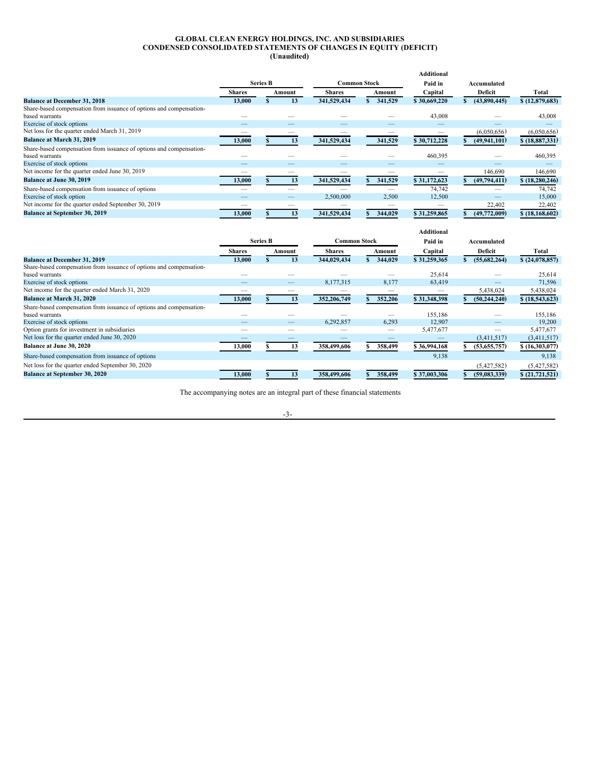#### **GLOBAL CLEAN ENERGY HOLDINGS, INC. AND SUBSIDIARIES CONDENSED CONSOLIDATED STATEMENTS OF CHANGES IN EQUITY (DEFICIT) (Unaudited)**

|                                                                     |               |                 |        |                     |         | Additional   |                |                  |
|---------------------------------------------------------------------|---------------|-----------------|--------|---------------------|---------|--------------|----------------|------------------|
|                                                                     |               | <b>Series B</b> |        | <b>Common Stock</b> |         | Paid in      | Accumulated    |                  |
|                                                                     | <b>Shares</b> |                 | Amount | <b>Shares</b>       | Amount  | Capital      | <b>Deficit</b> | Total            |
| <b>Balance at December 31, 2018</b>                                 | 13,000        |                 | 13     | 341,529,434         | 341,529 | \$30,669,220 | (43,890,445)   | \$(12,879,683)   |
| Share-based compensation from issuance of options and compensation- |               |                 |        |                     |         |              |                |                  |
| based warrants                                                      |               |                 |        |                     |         | 43,008       |                | 43,008           |
| Exercise of stock options                                           |               |                 |        |                     |         |              |                |                  |
| Net loss for the quarter ended March 31, 2019                       |               |                 |        |                     |         |              | (6,050,656)    | (6,050,656)      |
| Balance at March 31, 2019                                           | 13,000        |                 | 13     | 341,529,434         | 341,529 | \$30,712,228 | (49, 941, 101) | \$ (18,887,331)  |
| Share-based compensation from issuance of options and compensation- |               |                 |        |                     |         |              |                |                  |
| based warrants                                                      |               |                 |        |                     |         | 460,395      |                | 460,395          |
| Exercise of stock options                                           |               |                 |        |                     |         |              |                |                  |
| Net income for the quarter ended June 30, 2019                      |               |                 |        |                     |         |              | 146,690        | 146,690          |
| Balance at June 30, 2019                                            | 13,000        |                 | 13     | 341,529,434         | 341,529 | \$31,172,623 | (49,794,411)   | \$(18, 280, 246) |
| Share-based compensation from issuance of options                   |               |                 |        |                     |         | 74,742       |                | 74,742           |
| Exercise of stock option                                            |               |                 |        | 2,500,000           | 2,500   | 12,500       |                | 15,000           |
| Net income for the quarter ended September 30, 2019                 |               |                 |        |                     |         |              | 22,402         | 22,402           |
| Balance at September 30, 2019                                       | 13.000        |                 | 13     | 341,529,434         | 344,029 | \$31,259,865 | (49,772,009)   | \$(18, 168, 602) |

|                                                                                       |               |                 |        |                     |         | <b>Additional</b> |                |                |
|---------------------------------------------------------------------------------------|---------------|-----------------|--------|---------------------|---------|-------------------|----------------|----------------|
|                                                                                       |               | <b>Series B</b> |        | <b>Common Stock</b> |         | Paid in           | Accumulated    |                |
|                                                                                       | <b>Shares</b> |                 | Amount | <b>Shares</b>       | Amount  | Capital           | Deficit        | Total          |
| <b>Balance at December 31, 2019</b>                                                   | 13,000        |                 | 13     | 344,029,434         | 344,029 | \$31,259,365      | (55,682,264)   | \$(24,078,857) |
| Share-based compensation from issuance of options and compensation-<br>based warrants |               |                 |        |                     |         | 25,614            |                | 25,614         |
| Exercise of stock options                                                             |               |                 |        | 8,177,315           | 8,177   | 63,419            |                | 71,596         |
| Net income for the quarter ended March 31, 2020                                       |               |                 |        |                     |         |                   | 5,438,024      | 5,438,024      |
| <b>Balance at March 31, 2020</b>                                                      | 13,000        |                 | 13     | 352,206,749         | 352,206 | \$31,348,398      | (50, 244, 240) | \$(18,543,623) |
| Share-based compensation from issuance of options and compensation-                   |               |                 |        |                     |         |                   |                |                |
| based warrants                                                                        |               |                 |        |                     |         | 155,186           |                | 155,186        |
| Exercise of stock options                                                             |               |                 |        | 6,292,857           | 6,293   | 12,907            |                | 19,200         |
| Option grants for investment in subsidiaries                                          |               |                 | __     |                     |         | 5,477,677         | _              | 5,477,677      |
| Net loss for the quarter ended June 30, 2020                                          |               |                 |        |                     |         |                   | (3,411,517)    | (3,411,517)    |
| Balance at June 30, 2020                                                              | 13,000        |                 | 13     | 358,499,606         | 358,499 | \$36,994,168      | (53,655,757)   | \$(16,303,077) |
| Share-based compensation from issuance of options                                     |               |                 |        |                     |         | 9,138             |                | 9,138          |
| Net loss for the quarter ended September 30, 2020                                     |               |                 |        |                     |         |                   | (5,427,582)    | (5,427,582)    |
| <b>Balance at September 30, 2020</b>                                                  | 13,000        |                 |        | 358,499,606         | 358,499 | \$37,003,306      | (59,083,339)   | \$(21,721,521) |

The accompanying notes are an integral part of these financial statements

-3-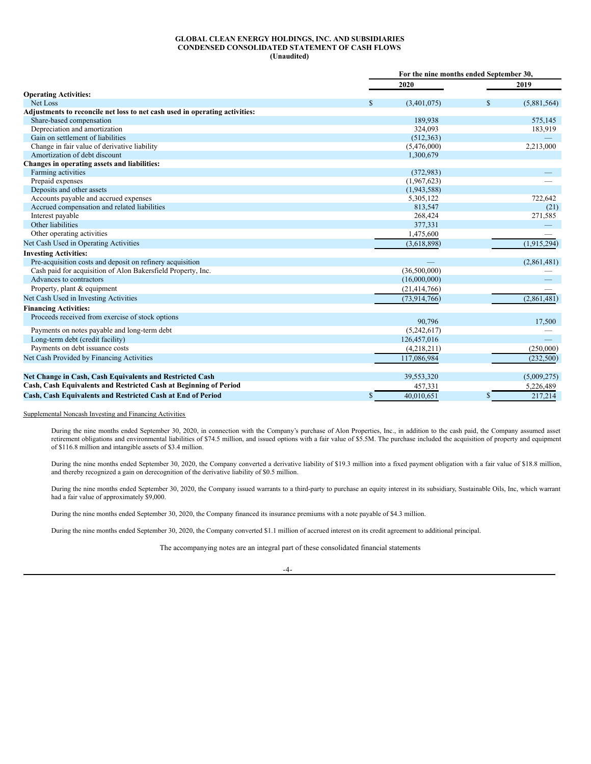#### **GLOBAL CLEAN ENERGY HOLDINGS, INC. AND SUBSIDIARIES CONDENSED CONSOLIDATED STATEMENT OF CASH FLOWS (Unaudited)**

|                                                                             | For the nine months ended September 30, |                |    |             |
|-----------------------------------------------------------------------------|-----------------------------------------|----------------|----|-------------|
|                                                                             |                                         | 2020           |    | 2019        |
| <b>Operating Activities:</b>                                                |                                         |                |    |             |
| Net Loss                                                                    | S                                       | (3,401,075)    | \$ | (5,881,564) |
| Adjustments to reconcile net loss to net cash used in operating activities: |                                         |                |    |             |
| Share-based compensation                                                    |                                         | 189.938        |    | 575,145     |
| Depreciation and amortization                                               |                                         | 324,093        |    | 183,919     |
| Gain on settlement of liabilities                                           |                                         | (512, 363)     |    |             |
| Change in fair value of derivative liability                                |                                         | (5,476,000)    |    | 2,213,000   |
| Amortization of debt discount                                               |                                         | 1,300,679      |    |             |
| Changes in operating assets and liabilities:                                |                                         |                |    |             |
| Farming activities                                                          |                                         | (372, 983)     |    |             |
| Prepaid expenses                                                            |                                         | (1,967,623)    |    |             |
| Deposits and other assets                                                   |                                         | (1,943,588)    |    |             |
| Accounts payable and accrued expenses                                       |                                         | 5,305,122      |    | 722,642     |
| Accrued compensation and related liabilities                                |                                         | 813,547        |    | (21)        |
| Interest payable                                                            |                                         | 268,424        |    | 271,585     |
| Other liabilities                                                           |                                         | 377,331        |    |             |
| Other operating activities                                                  |                                         | 1,475,600      |    |             |
| Net Cash Used in Operating Activities                                       |                                         | (3,618,898)    |    | (1,915,294) |
| <b>Investing Activities:</b>                                                |                                         |                |    |             |
| Pre-acquisition costs and deposit on refinery acquisition                   |                                         |                |    | (2,861,481) |
| Cash paid for acquisition of Alon Bakersfield Property, Inc.                |                                         | (36,500,000)   |    |             |
| Advances to contractors                                                     |                                         | (16,000,000)   |    |             |
| Property, plant & equipment                                                 |                                         | (21, 414, 766) |    |             |
| Net Cash Used in Investing Activities                                       |                                         | (73, 914, 766) |    | (2,861,481) |
| <b>Financing Activities:</b>                                                |                                         |                |    |             |
| Proceeds received from exercise of stock options                            |                                         | 90,796         |    | 17,500      |
| Payments on notes payable and long-term debt                                |                                         | (5,242,617)    |    |             |
| Long-term debt (credit facility)                                            |                                         | 126,457,016    |    |             |
| Payments on debt issuance costs                                             |                                         | (4,218,211)    |    | (250,000)   |
| Net Cash Provided by Financing Activities                                   |                                         | 117,086,984    |    | (232,500)   |
|                                                                             |                                         |                |    |             |
| Net Change in Cash, Cash Equivalents and Restricted Cash                    |                                         | 39,553,320     |    | (5,009,275) |
| Cash, Cash Equivalents and Restricted Cash at Beginning of Period           |                                         | 457,331        |    | 5,226,489   |
| Cash, Cash Equivalents and Restricted Cash at End of Period                 | S                                       | 40.010.651     | \$ | 217,214     |

#### Supplemental Noncash Investing and Financing Activities

During the nine months ended September 30, 2020, in connection with the Company's purchase of Alon Properties, Inc., in addition to the cash paid, the Company assumed asset retirement obligations and environmental liabilities of \$74.5 million, and issued options with a fair value of \$5.5M. The purchase included the acquisition of property and equipment of \$116.8 million and intangible assets of \$3.4 million.

During the nine months ended September 30, 2020, the Company converted a derivative liability of \$19.3 million into a fixed payment obligation with a fair value of \$18.8 million, and thereby recognized a gain on derecognition of the derivative liability of \$0.5 million.

During the nine months ended September 30, 2020, the Company issued warrants to a third-party to purchase an equity interest in its subsidiary, Sustainable Oils, Inc, which warrant had a fair value of approximately \$9,000.

During the nine months ended September 30, 2020, the Company financed its insurance premiums with a note payable of \$4.3 million.

During the nine months ended September 30, 2020, the Company converted \$1.1 million of accrued interest on its credit agreement to additional principal.

The accompanying notes are an integral part of these consolidated financial statements

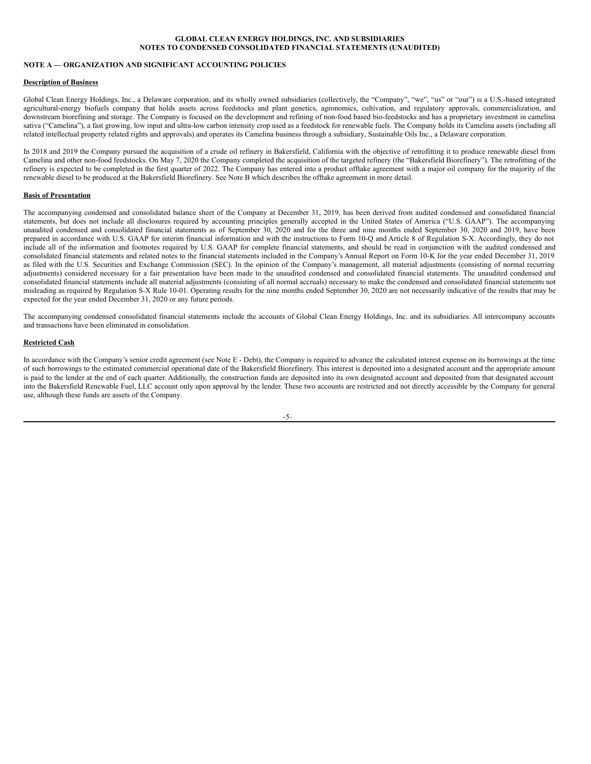# **NOTE A — ORGANIZATION AND SIGNIFICANT ACCOUNTING POLICIES**

#### **Description of Business**

Global Clean Energy Holdings, Inc., a Delaware corporation, and its wholly owned subsidiaries (collectively, the "Company", "we", "us" or "our") is a U.S.-based integrated agricultural-energy biofuels company that holds assets across feedstocks and plant genetics, agronomics, cultivation, and regulatory approvals, commercialization, and downstream biorefining and storage. The Company is focused on the development and refining of non-food based bio-feedstocks and has a proprietary investment in camelina sativa ("Camelina"), a fast growing, low input and ultra-low carbon intensity crop used as a feedstock for renewable fuels. The Company holds its Camelina assets (including all related intellectual property related rights and approvals) and operates its Camelina business through a subsidiary, Sustainable Oils Inc., a Delaware corporation.

In 2018 and 2019 the Company pursued the acquisition of a crude oil refinery in Bakersfield, California with the objective of retrofitting it to produce renewable diesel from Camelina and other non-food feedstocks. On May 7, 2020 the Company completed the acquisition of the targeted refinery (the "Bakersfield Biorefinery"). The retrofitting of the refinery is expected to be completed in the first quarter of 2022. The Company has entered into a product offtake agreement with a major oil company for the majority of the renewable diesel to be produced at the Bakersfield Biorefinery. See Note B which describes the offtake agreement in more detail.

# **Basis of Presentation**

The accompanying condensed and consolidated balance sheet of the Company at December 31, 2019, has been derived from audited condensed and consolidated financial statements, but does not include all disclosures required by accounting principles generally accepted in the United States of America ("U.S. GAAP"). The accompanying unaudited condensed and consolidated financial statements as of September 30, 2020 and for the three and nine months ended September 30, 2020 and 2019, have been prepared in accordance with U.S. GAAP for interim financial information and with the instructions to Form 10-Q and Article 8 of Regulation S-X. Accordingly, they do not include all of the information and footnotes required by U.S. GAAP for complete financial statements, and should be read in conjunction with the audited condensed and consolidated financial statements and related notes to the financial statements included in the Company's Annual Report on Form 10-K for the year ended December 31, 2019 as filed with the U.S. Securities and Exchange Commission (SEC). In the opinion of the Company's management, all material adjustments (consisting of normal recurring adjustments) considered necessary for a fair presentation have been made to the unaudited condensed and consolidated financial statements. The unaudited condensed and consolidated financial statements include all material adjustments (consisting of all normal accruals) necessary to make the condensed and consolidated financial statements not misleading as required by Regulation S-X Rule 10-01. Operating results for the nine months ended September 30, 2020 are not necessarily indicative of the results that may be expected for the year ended December 31, 2020 or any future periods.

The accompanying condensed consolidated financial statements include the accounts of Global Clean Energy Holdings, Inc. and its subsidiaries. All intercompany accounts and transactions have been eliminated in consolidation.

# **Restricted Cash**

In accordance with the Company's senior credit agreement (see Note E - Debt), the Company is required to advance the calculated interest expense on its borrowings at the time of such borrowings to the estimated commercial operational date of the Bakersfield Biorefinery. This interest is deposited into a designated account and the appropriate amount is paid to the lender at the end of each quarter. Additionally, the construction funds are deposited into its own designated account and deposited from that designated account into the Bakersfield Renewable Fuel, LLC account only upon approval by the lender. These two accounts are restricted and not directly accessible by the Company for general use, although these funds are assets of the Company.

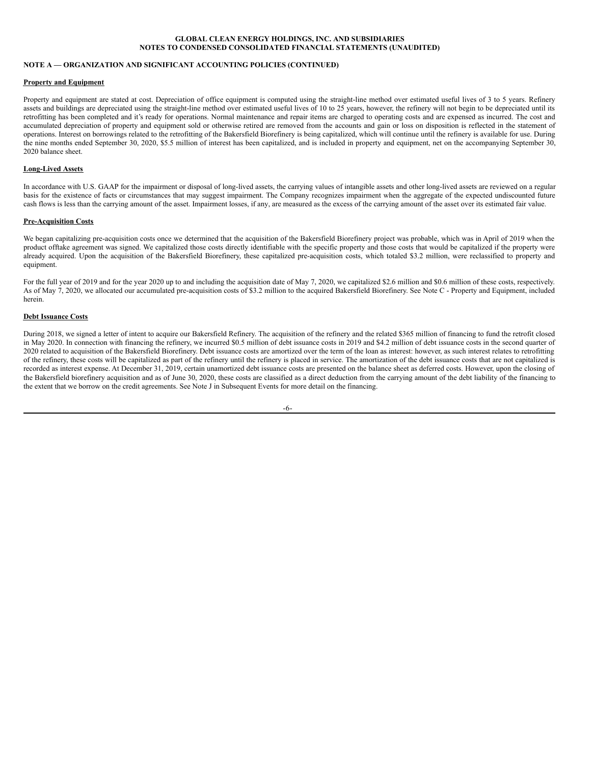# **NOTE A — ORGANIZATION AND SIGNIFICANT ACCOUNTING POLICIES (CONTINUED)**

#### **Property and Equipment**

Property and equipment are stated at cost. Depreciation of office equipment is computed using the straight-line method over estimated useful lives of 3 to 5 years. Refinery assets and buildings are depreciated using the straight-line method over estimated useful lives of 10 to 25 years, however, the refinery will not begin to be depreciated until its retrofitting has been completed and it's ready for operations. Normal maintenance and repair items are charged to operating costs and are expensed as incurred. The cost and accumulated depreciation of property and equipment sold or otherwise retired are removed from the accounts and gain or loss on disposition is reflected in the statement of operations. Interest on borrowings related to the retrofitting of the Bakersfield Biorefinery is being capitalized, which will continue until the refinery is available for use. During the nine months ended September 30, 2020, \$5.5 million of interest has been capitalized, and is included in property and equipment, net on the accompanying September 30, 2020 balance sheet.

# **Long-Lived Assets**

In accordance with U.S. GAAP for the impairment or disposal of long-lived assets, the carrying values of intangible assets and other long-lived assets are reviewed on a regular basis for the existence of facts or circumstances that may suggest impairment. The Company recognizes impairment when the aggregate of the expected undiscounted future cash flows is less than the carrying amount of the asset. Impairment losses, if any, are measured as the excess of the carrying amount of the asset over its estimated fair value.

# **Pre-Acquisition Costs**

We began capitalizing pre-acquisition costs once we determined that the acquisition of the Bakersfield Biorefinery project was probable, which was in April of 2019 when the product offtake agreement was signed. We capitalized those costs directly identifiable with the specific property and those costs that would be capitalized if the property were already acquired. Upon the acquisition of the Bakersfield Biorefinery, these capitalized pre-acquisition costs, which totaled \$3.2 million, were reclassified to property and equipment.

For the full year of 2019 and for the year 2020 up to and including the acquisition date of May 7, 2020, we capitalized \$2.6 million and \$0.6 million of these costs, respectively. As of May 7, 2020, we allocated our accumulated pre-acquisition costs of \$3.2 million to the acquired Bakersfield Biorefinery. See Note C - Property and Equipment, included herein.

# **Debt Issuance Costs**

During 2018, we signed a letter of intent to acquire our Bakersfield Refinery. The acquisition of the refinery and the related \$365 million of financing to fund the retrofit closed in May 2020. In connection with financing the refinery, we incurred \$0.5 million of debt issuance costs in 2019 and \$4.2 million of debt issuance costs in the second quarter of 2020 related to acquisition of the Bakersfield Biorefinery. Debt issuance costs are amortized over the term of the loan as interest: however, as such interest relates to retrofitting of the refinery, these costs will be capitalized as part of the refinery until the refinery is placed in service. The amortization of the debt issuance costs that are not capitalized is recorded as interest expense. At December 31, 2019, certain unamortized debt issuance costs are presented on the balance sheet as deferred costs. However, upon the closing of the Bakersfield biorefinery acquisition and as of June 30, 2020, these costs are classified as a direct deduction from the carrying amount of the debt liability of the financing to the extent that we borrow on the credit agreements. See Note J in Subsequent Events for more detail on the financing.

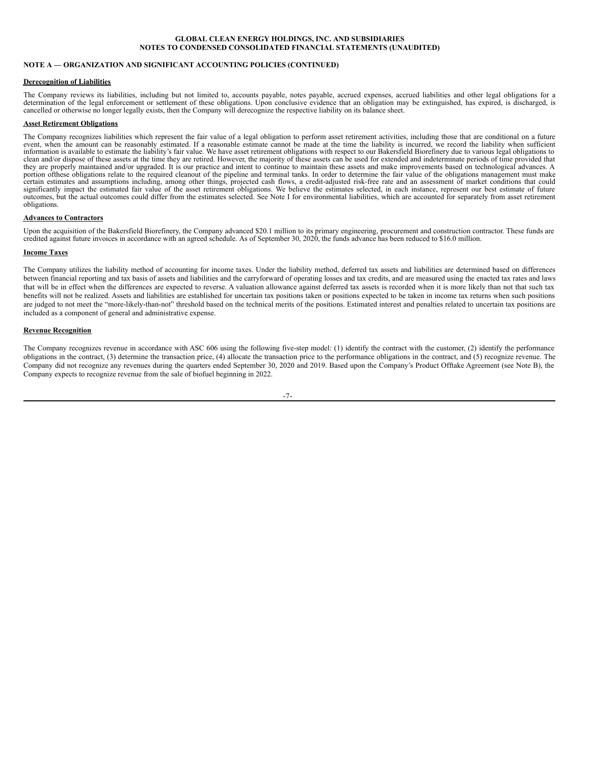# **NOTE A — ORGANIZATION AND SIGNIFICANT ACCOUNTING POLICIES (CONTINUED)**

#### **Derecognition of Liabilities**

The Company reviews its liabilities, including but not limited to, accounts payable, notes payable, accrued expenses, accrued liabilities and other legal obligations for a determination of the legal enforcement or settleme cancelled or otherwise no longer legally exists, then the Company will derecognize the respective liability on its balance sheet.

# **Asset Retirement Obligations**

The Company recognizes liabilities which represent the fair value of a legal obligation to perform asset retirement activities, including those that are conditional on a future event, when the amount can be reasonably estimated. If a reasonable estimate cannot be made at the time the liability is incurred, we record the liability when sufficient information is available to estimate the liability's fair value. We have asset retirement obligations with respect to our Bakersfield Biorefinery due to various legal obligations to clean and/or dispose of these assets at the time they are retired. However, the majority of these assets can be used for extended and indeterminate periods of time provided that they are properly maintained and/or upgraded. It is our practice and intent to continue to maintain these assets and make improvements based on technological advances. A portion of these obligations relate to the required certain estimates and assumptions including, among other things, projected cash flows, a credit-adjusted risk-free rate and an assessment of market conditions that could significantly impact the estimated fair value of the obligations.

#### **Advances to Contractors**

Upon the acquisition of the Bakersfield Biorefinery, the Company advanced \$20.1 million to its primary engineering, procurement and construction contractor. These funds are credited against future invoices in accordance wi

#### **Income Taxes**

The Company utilizes the liability method of accounting for income taxes. Under the liability method, deferred tax assets and liabilities are determined based on differences between financial reporting and tax basis of assets and liabilities and the carryforward of operating losses and tax credits, and are measured using the enacted tax rates and laws that will be in effect when the differences are expected to reverse. A valuation allowance against deferred tax assets is recorded when it is more likely than not that such tax benefits will not be realized. Assets and liabilities are established for uncertain tax positions taken or positions expected to be taken in income tax returns when such positions are judged to not meet the "more-likely-than-not" threshold based on the technical merits of the positions. Estimated interest and penalties related to uncertain tax positions are included as a component of general and administrative expense.

#### **Revenue Recognition**

The Company recognizes revenue in accordance with ASC 606 using the following five-step model: (1) identify the contract with the customer, (2) identify the performance obligations in the contract, (3) determine the transaction price, (4) allocate the transaction price to the performance obligations in the contract, and (5) recognize revenue. The Company did not recognize any revenues during the quarters ended September 30, 2020 and 2019. Based upon the Company's Product Offtake Agreement (see Note B), the Company expects to recognize revenue from the sale of biofuel beginning in 2022.

$$
-7-
$$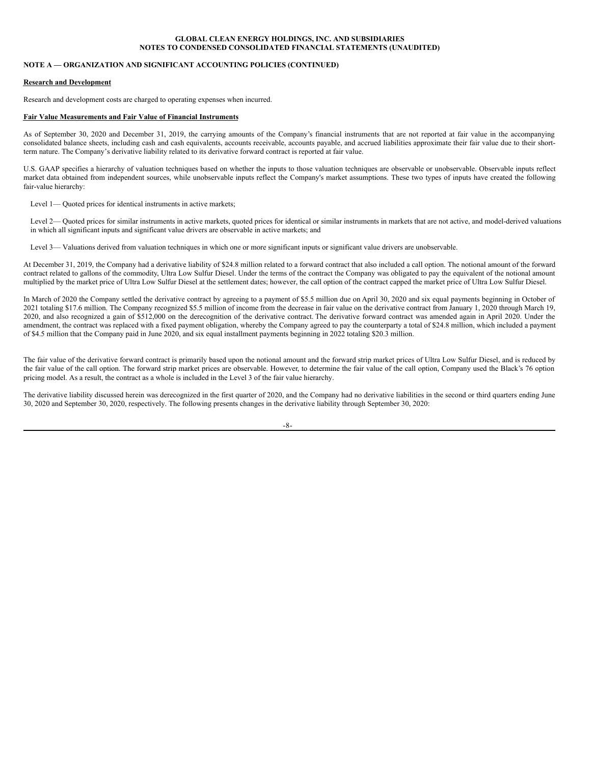## **NOTE A — ORGANIZATION AND SIGNIFICANT ACCOUNTING POLICIES (CONTINUED)**

#### **Research and Development**

Research and development costs are charged to operating expenses when incurred.

#### **Fair Value Measurements and Fair Value of Financial Instruments**

As of September 30, 2020 and December 31, 2019, the carrying amounts of the Company's financial instruments that are not reported at fair value in the accompanying consolidated balance sheets, including cash and cash equivalents, accounts receivable, accounts payable, and accrued liabilities approximate their fair value due to their shortterm nature. The Company's derivative liability related to its derivative forward contract is reported at fair value.

U.S. GAAP specifies a hierarchy of valuation techniques based on whether the inputs to those valuation techniques are observable or unobservable. Observable inputs reflect market data obtained from independent sources, while unobservable inputs reflect the Company's market assumptions. These two types of inputs have created the following fair-value hierarchy:

Level 1— Quoted prices for identical instruments in active markets;

Level 2— Quoted prices for similar instruments in active markets, quoted prices for identical or similar instruments in markets that are not active, and model-derived valuations in which all significant inputs and significant value drivers are observable in active markets; and

Level 3— Valuations derived from valuation techniques in which one or more significant inputs or significant value drivers are unobservable.

At December 31, 2019, the Company had a derivative liability of \$24.8 million related to a forward contract that also included a call option. The notional amount of the forward contract related to gallons of the commodity, Ultra Low Sulfur Diesel. Under the terms of the contract the Company was obligated to pay the equivalent of the notional amount multiplied by the market price of Ultra Low Sulfur Diesel at the settlement dates; however, the call option of the contract capped the market price of Ultra Low Sulfur Diesel.

In March of 2020 the Company settled the derivative contract by agreeing to a payment of \$5.5 million due on April 30, 2020 and six equal payments beginning in October of 2021 totaling \$17.6 million. The Company recognized \$5.5 million of income from the decrease in fair value on the derivative contract from January 1, 2020 through March 19, 2020, and also recognized a gain of \$512,000 on the derecognition of the derivative contract. The derivative forward contract was amended again in April 2020. Under the amendment, the contract was replaced with a fixed payment obligation, whereby the Company agreed to pay the counterparty a total of \$24.8 million, which included a payment of \$4.5 million that the Company paid in June 2020, and six equal installment payments beginning in 2022 totaling \$20.3 million.

The fair value of the derivative forward contract is primarily based upon the notional amount and the forward strip market prices of Ultra Low Sulfur Diesel, and is reduced by the fair value of the call option. The forward strip market prices are observable. However, to determine the fair value of the call option, Company used the Black's 76 option pricing model. As a result, the contract as a whole is included in the Level 3 of the fair value hierarchy.

The derivative liability discussed herein was derecognized in the first quarter of 2020, and the Company had no derivative liabilities in the second or third quarters ending June 30, 2020 and September 30, 2020, respectively. The following presents changes in the derivative liability through September 30, 2020:

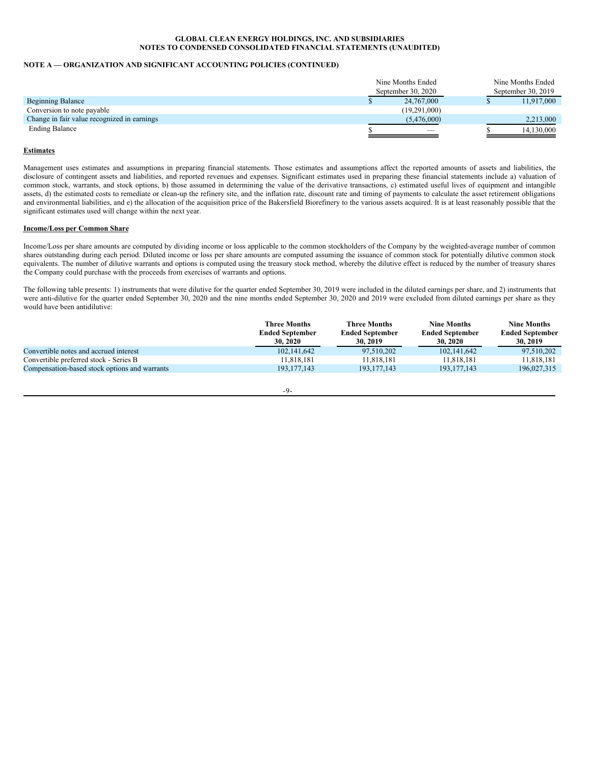# **NOTE A — ORGANIZATION AND SIGNIFICANT ACCOUNTING POLICIES (CONTINUED)**

|                                             | Nine Months Ended        | Nine Months Ended  |  |
|---------------------------------------------|--------------------------|--------------------|--|
|                                             | September 30, 2020       | September 30, 2019 |  |
| Beginning Balance                           | 24,767,000               | 11.917.000         |  |
| Conversion to note payable                  | (19,291,000)             |                    |  |
| Change in fair value recognized in earnings | (5.476.000)              | 2.213,000          |  |
| <b>Ending Balance</b>                       | $\overline{\phantom{a}}$ | 14,130,000         |  |

# **Estimates**

Management uses estimates and assumptions in preparing financial statements. Those estimates and assumptions affect the reported amounts of assets and liabilities, the disclosure of contingent assets and liabilities, and reported revenues and expenses. Significant estimates used in preparing these financial statements include a) valuation of common stock, warrants, and stock options, b) those assumed in determining the value of the derivative transactions, c) estimated useful lives of equipment and intangible assets, d) the estimated costs to remediate or clean-up the refinery site, and the inflation rate, discount rate and timing of payments to calculate the asset retirement obligations and environmental liabilities, and e) the allocation of the acquisition price of the Bakersfield Biorefinery to the various assets acquired. It is at least reasonably possible that the significant estimates used will change within the next year.

# **Income/Loss per Common Share**

Income/Loss per share amounts are computed by dividing income or loss applicable to the common stockholders of the Company by the weighted-average number of common shares outstanding during each period. Diluted income or loss per share amounts are computed assuming the issuance of common stock for potentially dilutive common stock equivalents. The number of dilutive warrants and options is computed using the treasury stock method, whereby the dilutive effect is reduced by the number of treasury shares the Company could purchase with the proceeds from exercises of warrants and options.

The following table presents: 1) instruments that were dilutive for the quarter ended September 30, 2019 were included in the diluted earnings per share, and 2) instruments that were anti-dilutive for the quarter ended September 30, 2020 and the nine months ended September 30, 2020 and 2019 were excluded from diluted earnings per share as they would have been antidilutive:

|                                               | <b>Three Months</b><br><b>Ended September</b><br>30, 2020 | <b>Three Months</b><br><b>Ended September</b><br>30, 2019 | <b>Nine Months</b><br><b>Ended September</b><br>30, 2020 | <b>Nine Months</b><br><b>Ended September</b><br>30, 2019 |
|-----------------------------------------------|-----------------------------------------------------------|-----------------------------------------------------------|----------------------------------------------------------|----------------------------------------------------------|
| Convertible notes and accrued interest        | 102.141.642                                               | 97.510.202                                                | 102.141.642                                              | 97,510,202                                               |
| Convertible preferred stock - Series B        | 11.818.181                                                | 11.818.181                                                | 11.818.181                                               | 11.818.181                                               |
| Compensation-based stock options and warrants | 193, 177, 143                                             | 193, 177, 143                                             | 193.177.143                                              | 196,027,315                                              |

-9-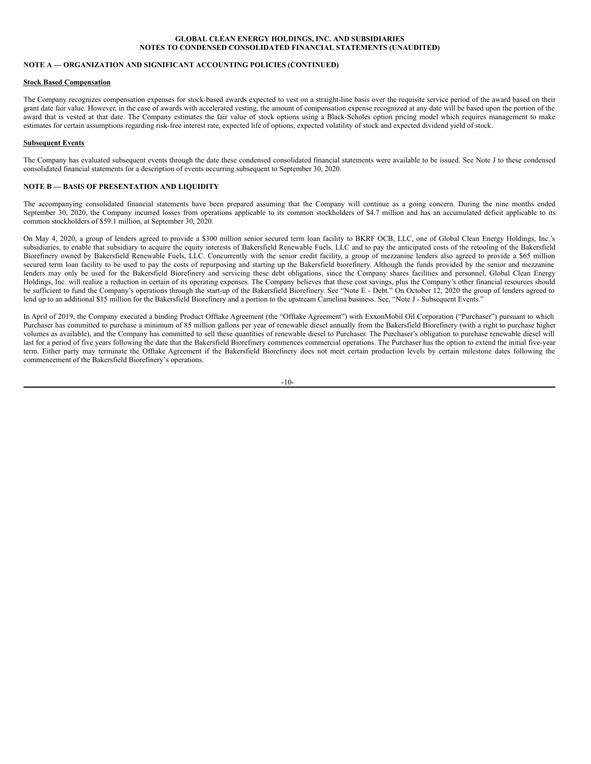# **NOTE A — ORGANIZATION AND SIGNIFICANT ACCOUNTING POLICIES (CONTINUED)**

# **Stock Based Compensation**

The Company recognizes compensation expenses for stock-based awards expected to vest on a straight-line basis over the requisite service period of the award based on their grant date fair value. However, in the case of awards with accelerated vesting, the amount of compensation expense recognized at any date will be based upon the portion of the award that is vested at that date. The Company estimates the fair value of stock options using a Black-Scholes option pricing model which requires management to make estimates for certain assumptions regarding risk-free interest rate, expected life of options, expected volatility of stock and expected dividend yield of stock.

# **Subsequent Events**

The Company has evaluated subsequent events through the date these condensed consolidated financial statements were available to be issued. See Note J to these condensed consolidated financial statements for a description of events occurring subsequent to September 30, 2020.

# **NOTE B — BASIS OF PRESENTATION AND LIQUIDITY**

The accompanying consolidated financial statements have been prepared assuming that the Company will continue as a going concern. During the nine months ended September 30, 2020, the Company incurred losses from operations applicable to its common stockholders of \$4.7 million and has an accumulated deficit applicable to its common stockholders of \$59.1 million, at September 30, 2020.

On May 4, 2020, a group of lenders agreed to provide a \$300 million senior secured term loan facility to BKRF OCB, LLC, one of Global Clean Energy Holdings, Inc.'s subsidiaries, to enable that subsidiary to acquire the equity interests of Bakersfield Renewable Fuels, LLC and to pay the anticipated costs of the retooling of the Bakersfield Biorefinery owned by Bakersfield Renewable Fuels, LLC. Concurrently with the senior credit facility, a group of mezzanine lenders also agreed to provide a \$65 million secured term loan facility to be used to pay the costs of repurposing and starting up the Bakersfield biorefinery. Although the funds provided by the senior and mezzanine lenders may only be used for the Bakersfield Biorefinery and servicing these debt obligations, since the Company shares facilities and personnel, Global Clean Energy Holdings, Inc. will realize a reduction in certain of its operating expenses. The Company believes that these cost savings, plus the Company's other financial resources should be sufficient to fund the Company's operations through the start-up of the Bakersfield Biorefinery. See "Note E - Debt." On October 12, 2020 the group of lenders agreed to lend up to an additional \$15 million for the Bakersfield Biorefinery and a portion to the upstream Camelina business. See, "Note J - Subsequent Events."

In April of 2019, the Company executed a binding Product Offtake Agreement (the "Offtake Agreement") with ExxonMobil Oil Corporation ("Purchaser") pursuant to which Purchaser has committed to purchase a minimum of 85 million gallons per year of renewable diesel annually from the Bakersfield Biorefinery (with a right to purchase higher volumes as available), and the Company has committed to sell these quantities of renewable diesel to Purchaser. The Purchaser's obligation to purchase renewable diesel will last for a period of five years following the date that the Bakersfield Biorefinery commences commercial operations. The Purchaser has the option to extend the initial five-year term. Either party may terminate the Offtake Agreement if the Bakersfield Biorefinery does not meet certain production levels by certain milestone dates following the commencement of the Bakersfield Biorefinery's operations.

-10-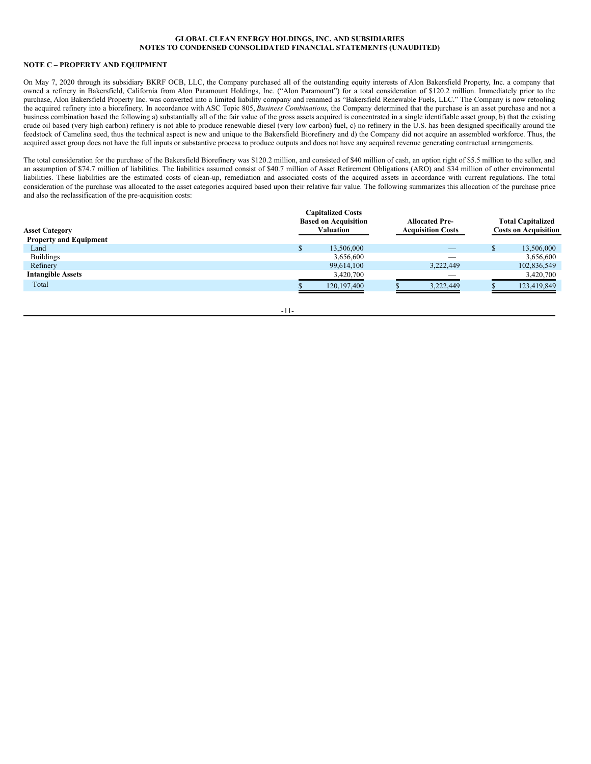# **NOTE C – PROPERTY AND EQUIPMENT**

On May 7, 2020 through its subsidiary BKRF OCB, LLC, the Company purchased all of the outstanding equity interests of Alon Bakersfield Property, Inc. a company that owned a refinery in Bakersfield, California from Alon Paramount Holdings, Inc. ("Alon Paramount") for a total consideration of \$120.2 million. Immediately prior to the purchase, Alon Bakersfield Property Inc. was converted into a limited liability company and renamed as "Bakersfield Renewable Fuels, LLC." The Company is now retooling the acquired refinery into a biorefinery. In accordance with ASC Topic 805, *Business Combinations*, the Company determined that the purchase is an asset purchase and not a business combination based the following a) substantially all of the fair value of the gross assets acquired is concentrated in a single identifiable asset group, b) that the existing crude oil based (very high carbon) refinery is not able to produce renewable diesel (very low carbon) fuel, c) no refinery in the U.S. has been designed specifically around the feedstock of Camelina seed, thus the technical aspect is new and unique to the Bakersfield Biorefinery and d) the Company did not acquire an assembled workforce. Thus, the acquired asset group does not have the full inputs or substantive process to produce outputs and does not have any acquired revenue generating contractual arrangements.

The total consideration for the purchase of the Bakersfield Biorefinery was \$120.2 million, and consisted of \$40 million of cash, an option right of \$5.5 million to the seller, and an assumption of \$74.7 million of liabilities. The liabilities assumed consist of \$40.7 million of Asset Retirement Obligations (ARO) and \$34 million of other environmental liabilities. These liabilities are the estimated costs of clean-up, remediation and associated costs of the acquired assets in accordance with current regulations. The total consideration of the purchase was allocated to the asset categories acquired based upon their relative fair value. The following summarizes this allocation of the purchase price and also the reclassification of the pre-acquisition costs:

| <b>Capitalized Costs</b><br><b>Based on Acquisition</b><br><b>Valuation</b> | <b>Allocated Pre-</b><br><b>Acquisition Costs</b> | <b>Total Capitalized</b><br><b>Costs on Acquisition</b> |
|-----------------------------------------------------------------------------|---------------------------------------------------|---------------------------------------------------------|
|                                                                             |                                                   |                                                         |
|                                                                             |                                                   | 13,506,000                                              |
|                                                                             | $\overline{\phantom{a}}$                          | 3,656,600                                               |
| 99,614,100                                                                  | 3,222,449                                         | 102,836,549                                             |
| 3,420,700                                                                   | $\overline{\phantom{a}}$                          | 3,420,700                                               |
| 120, 197, 400                                                               | 3,222,449                                         | 123,419,849                                             |
|                                                                             | 13,506,000<br>3,656,600                           |                                                         |

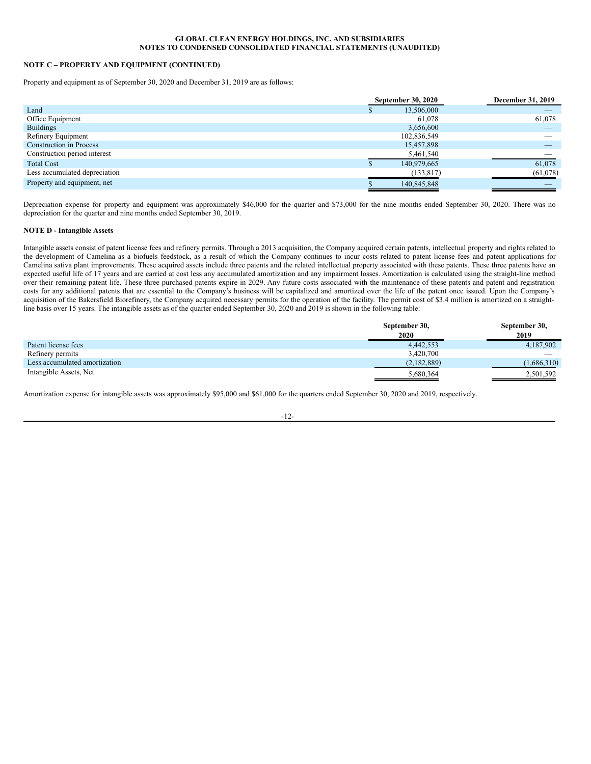# **NOTE C – PROPERTY AND EQUIPMENT (CONTINUED)**

Property and equipment as of September 30, 2020 and December 31, 2019 are as follows:

|                                | <b>September 30, 2020</b> | December 31, 2019 |
|--------------------------------|---------------------------|-------------------|
| Land                           | 13,506,000                |                   |
| Office Equipment               | 61,078                    | 61,078            |
| <b>Buildings</b>               | 3,656,600                 |                   |
| Refinery Equipment             | 102,836,549               |                   |
| <b>Construction in Process</b> | 15,457,898                |                   |
| Construction period interest   | 5,461,540                 |                   |
| <b>Total Cost</b>              | 140,979,665               | 61,078            |
| Less accumulated depreciation  | (133, 817)                | (61,078)          |
| Property and equipment, net    | 140,845,848               |                   |

Depreciation expense for property and equipment was approximately \$46,000 for the quarter and \$73,000 for the nine months ended September 30, 2020. There was no depreciation for the quarter and nine months ended September 30, 2019.

# **NOTE D - Intangible Assets**

Intangible assets consist of patent license fees and refinery permits. Through a 2013 acquisition, the Company acquired certain patents, intellectual property and rights related to the development of Camelina as a biofuels feedstock, as a result of which the Company continues to incur costs related to patent license fees and patent applications for Camelina sativa plant improvements. These acquired assets include three patents and the related intellectual property associated with these patents. These three patents have an expected useful life of 17 years and are carried at cost less any accumulated amortization and any impairment losses. Amortization is calculated using the straight-line method over their remaining patent life. These three purchased patents expire in 2029. Any future costs associated with the maintenance of these patents and patent and registration costs for any additional patents that are essential to the Company's business will be capitalized and amortized over the life of the patent once issued. Upon the Company's acquisition of the Bakersfield Biorefinery, the Company acquired necessary permits for the operation of the facility. The permit cost of \$3.4 million is amortized on a straightline basis over 15 years. The intangible assets as of the quarter ended September 30, 2020 and 2019 is shown in the following table:

|                               | September 30, | September 30, |
|-------------------------------|---------------|---------------|
|                               | 2020          | 2019          |
| Patent license fees           | 4,442,553     | 4,187,902     |
| Refinery permits              | 3,420,700     |               |
| Less accumulated amortization | (2,182,889)   | (1,686,310)   |
| Intangible Assets, Net        | 5,680,364     | 2.501.592     |

Amortization expense for intangible assets was approximately \$95,000 and \$61,000 for the quarters ended September 30, 2020 and 2019, respectively.

-12-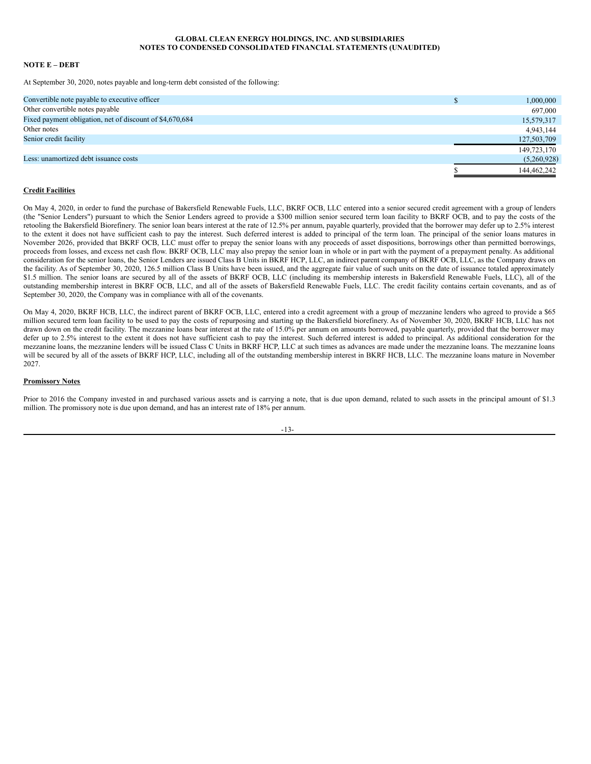# **NOTE E – DEBT**

At September 30, 2020, notes payable and long-term debt consisted of the following:

| Convertible note payable to executive officer            | 1,000,000   |
|----------------------------------------------------------|-------------|
| Other convertible notes payable                          | 697.000     |
| Fixed payment obligation, net of discount of \$4,670,684 | 15,579,317  |
| Other notes                                              | 4,943,144   |
| Senior credit facility                                   | 127,503,709 |
|                                                          | 149,723,170 |
| Less: unamortized debt issuance costs                    | (5,260,928) |
|                                                          | 144,462,242 |

# **Credit Facilities**

On May 4, 2020, in order to fund the purchase of Bakersfield Renewable Fuels, LLC, BKRF OCB, LLC entered into a senior secured credit agreement with a group of lenders (the "Senior Lenders") pursuant to which the Senior Lenders agreed to provide a \$300 million senior secured term loan facility to BKRF OCB, and to pay the costs of the retooling the Bakersfield Biorefinery. The senior loan bears interest at the rate of 12.5% per annum, payable quarterly, provided that the borrower may defer up to 2.5% interest to the extent it does not have sufficient cash to pay the interest. Such deferred interest is added to principal of the term loan. The principal of the senior loans matures in November 2026, provided that BKRF OCB, LLC must offer to prepay the senior loans with any proceeds of asset dispositions, borrowings other than permitted borrowings, proceeds from losses, and excess net cash flow. BKRF OCB, LLC may also prepay the senior loan in whole or in part with the payment of a prepayment penalty. As additional consideration for the senior loans, the Senior Lenders are issued Class B Units in BKRF HCP, LLC, an indirect parent company of BKRF OCB, LLC, as the Company draws on the facility. As of September 30, 2020, 126.5 million Class B Units have been issued, and the aggregate fair value of such units on the date of issuance totaled approximately \$1.5 million. The senior loans are secured by all of the assets of BKRF OCB, LLC (including its membership interests in Bakersfield Renewable Fuels, LLC), all of the outstanding membership interest in BKRF OCB, LLC, and all of the assets of Bakersfield Renewable Fuels, LLC. The credit facility contains certain covenants, and as of September 30, 2020, the Company was in compliance with all of the covenants.

On May 4, 2020, BKRF HCB, LLC, the indirect parent of BKRF OCB, LLC, entered into a credit agreement with a group of mezzanine lenders who agreed to provide a \$65 million secured term loan facility to be used to pay the costs of repurposing and starting up the Bakersfield biorefinery. As of November 30, 2020, BKRF HCB, LLC has not drawn down on the credit facility. The mezzanine loans bear interest at the rate of 15.0% per annum on amounts borrowed, payable quarterly, provided that the borrower may defer up to 2.5% interest to the extent it does not have sufficient cash to pay the interest. Such deferred interest is added to principal. As additional consideration for the mezzanine loans, the mezzanine lenders will be issued Class C Units in BKRF HCP, LLC at such times as advances are made under the mezzanine loans. The mezzanine loans will be secured by all of the assets of BKRF HCP, LLC, including all of the outstanding membership interest in BKRF HCB, LLC. The mezzanine loans mature in November 2027.

# **Promissory Notes**

Prior to 2016 the Company invested in and purchased various assets and is carrying a note, that is due upon demand, related to such assets in the principal amount of \$1.3 million. The promissory note is due upon demand, and has an interest rate of 18% per annum.

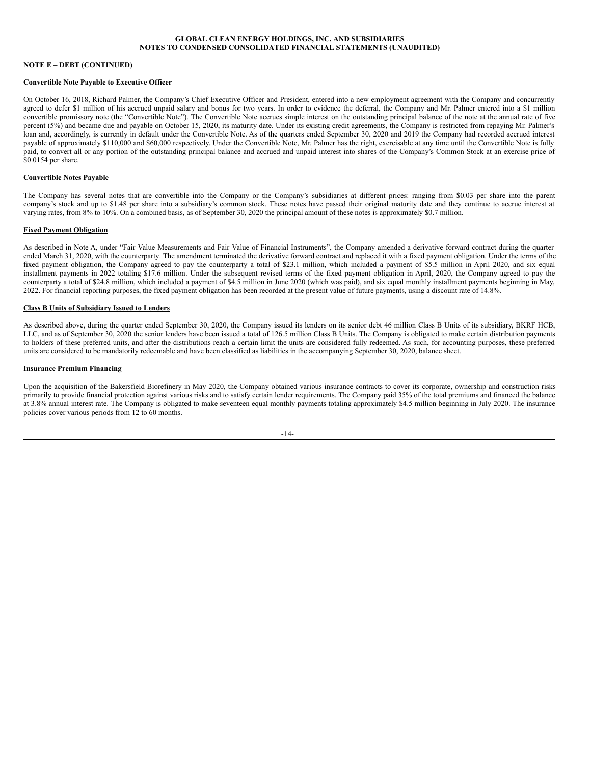# **NOTE E – DEBT (CONTINUED)**

#### **Convertible Note Payable to Executive Officer**

On October 16, 2018, Richard Palmer, the Company's Chief Executive Officer and President, entered into a new employment agreement with the Company and concurrently agreed to defer \$1 million of his accrued unpaid salary and bonus for two years. In order to evidence the deferral, the Company and Mr. Palmer entered into a \$1 million convertible promissory note (the "Convertible Note"). The Convertible Note accrues simple interest on the outstanding principal balance of the note at the annual rate of five percent (5%) and became due and payable on October 15, 2020, its maturity date. Under its existing credit agreements, the Company is restricted from repaying Mr. Palmer's loan and, accordingly, is currently in default under the Convertible Note. As of the quarters ended September 30, 2020 and 2019 the Company had recorded accrued interest payable of approximately \$110,000 and \$60,000 respectively. Under the Convertible Note, Mr. Palmer has the right, exercisable at any time until the Convertible Note is fully paid, to convert all or any portion of the outstanding principal balance and accrued and unpaid interest into shares of the Company's Common Stock at an exercise price of \$0.0154 per share.

#### **Convertible Notes Payable**

The Company has several notes that are convertible into the Company or the Company's subsidiaries at different prices: ranging from \$0.03 per share into the parent company's stock and up to \$1.48 per share into a subsidiary's common stock. These notes have passed their original maturity date and they continue to accrue interest at varying rates, from 8% to 10%. On a combined basis, as of September 30, 2020 the principal amount of these notes is approximately \$0.7 million.

#### **Fixed Payment Obligation**

As described in Note A, under "Fair Value Measurements and Fair Value of Financial Instruments", the Company amended a derivative forward contract during the quarter ended March 31, 2020, with the counterparty. The amendment terminated the derivative forward contract and replaced it with a fixed payment obligation. Under the terms of the fixed payment obligation, the Company agreed to pay the counterparty a total of \$23.1 million, which included a payment of \$5.5 million in April 2020, and six equal installment payments in 2022 totaling \$17.6 million. Under the subsequent revised terms of the fixed payment obligation in April, 2020, the Company agreed to pay the counterparty a total of \$24.8 million, which included a payment of \$4.5 million in June 2020 (which was paid), and six equal monthly installment payments beginning in May, 2022. For financial reporting purposes, the fixed payment obligation has been recorded at the present value of future payments, using a discount rate of 14.8%.

# **Class B Units of Subsidiary Issued to Lenders**

As described above, during the quarter ended September 30, 2020, the Company issued its lenders on its senior debt 46 million Class B Units of its subsidiary, BKRF HCB, LLC, and as of September 30, 2020 the senior lenders have been issued a total of 126.5 million Class B Units. The Company is obligated to make certain distribution payments to holders of these preferred units, and after the distributions reach a certain limit the units are considered fully redeemed. As such, for accounting purposes, these preferred units are considered to be mandatorily redeemable and have been classified as liabilities in the accompanying September 30, 2020, balance sheet.

#### **Insurance Premium Financing**

Upon the acquisition of the Bakersfield Biorefinery in May 2020, the Company obtained various insurance contracts to cover its corporate, ownership and construction risks primarily to provide financial protection against various risks and to satisfy certain lender requirements. The Company paid 35% of the total premiums and financed the balance at 3.8% annual interest rate. The Company is obligated to make seventeen equal monthly payments totaling approximately \$4.5 million beginning in July 2020. The insurance policies cover various periods from 12 to 60 months.

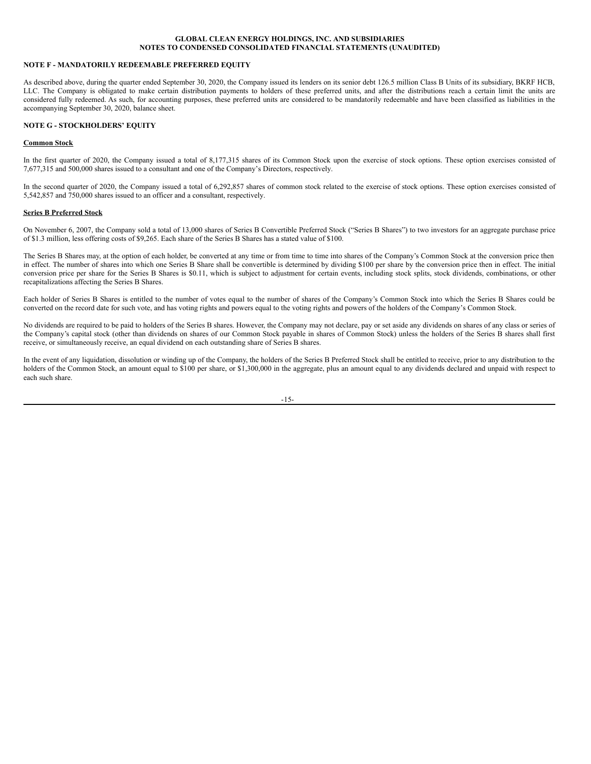# **NOTE F - MANDATORILY REDEEMABLE PREFERRED EQUITY**

As described above, during the quarter ended September 30, 2020, the Company issued its lenders on its senior debt 126.5 million Class B Units of its subsidiary, BKRF HCB, LLC. The Company is obligated to make certain distribution payments to holders of these preferred units, and after the distributions reach a certain limit the units are considered fully redeemed. As such, for accounting purposes, these preferred units are considered to be mandatorily redeemable and have been classified as liabilities in the accompanying September 30, 2020, balance sheet.

#### **NOTE G - STOCKHOLDERS' EQUITY**

# **Common Stock**

In the first quarter of 2020, the Company issued a total of 8,177,315 shares of its Common Stock upon the exercise of stock options. These option exercises consisted of 7,677,315 and 500,000 shares issued to a consultant and one of the Company's Directors, respectively.

In the second quarter of 2020, the Company issued a total of 6,292,857 shares of common stock related to the exercise of stock options. These option exercises consisted of 5,542,857 and 750,000 shares issued to an officer and a consultant, respectively.

#### **Series B Preferred Stock**

On November 6, 2007, the Company sold a total of 13,000 shares of Series B Convertible Preferred Stock ("Series B Shares") to two investors for an aggregate purchase price of \$1.3 million, less offering costs of \$9,265. Each share of the Series B Shares has a stated value of \$100.

The Series B Shares may, at the option of each holder, be converted at any time or from time to time into shares of the Company's Common Stock at the conversion price then in effect. The number of shares into which one Series B Share shall be convertible is determined by dividing \$100 per share by the conversion price then in effect. The initial conversion price per share for the Series B Shares is \$0.11, which is subject to adjustment for certain events, including stock splits, stock dividends, combinations, or other recapitalizations affecting the Series B Shares.

Each holder of Series B Shares is entitled to the number of votes equal to the number of shares of the Company's Common Stock into which the Series B Shares could be converted on the record date for such vote, and has voting rights and powers equal to the voting rights and powers of the holders of the Company's Common Stock.

No dividends are required to be paid to holders of the Series B shares. However, the Company may not declare, pay or set aside any dividends on shares of any class or series of the Company's capital stock (other than dividends on shares of our Common Stock payable in shares of Common Stock) unless the holders of the Series B shares shall first receive, or simultaneously receive, an equal dividend on each outstanding share of Series B shares.

In the event of any liquidation, dissolution or winding up of the Company, the holders of the Series B Preferred Stock shall be entitled to receive, prior to any distribution to the holders of the Common Stock, an amount equal to \$100 per share, or \$1,300,000 in the aggregate, plus an amount equal to any dividends declared and unpaid with respect to each such share.

$$
-15-
$$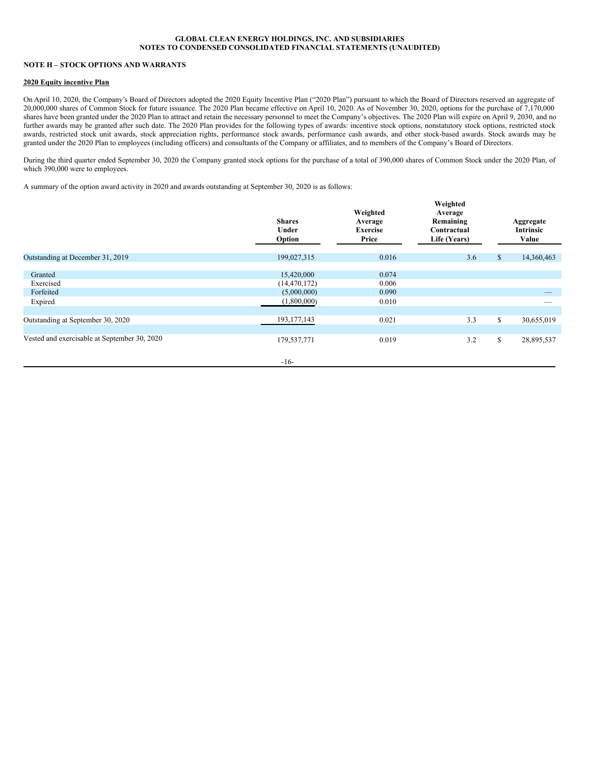# **NOTE H – STOCK OPTIONS AND WARRANTS**

# **2020 Equity incentive Plan**

On April 10, 2020, the Company's Board of Directors adopted the 2020 Equity Incentive Plan ("2020 Plan") pursuant to which the Board of Directors reserved an aggregate of 20,000,000 shares of Common Stock for future issuance. The 2020 Plan became effective on April 10, 2020. As of November 30, 2020, options for the purchase of 7,170,000 shares have been granted under the 2020 Plan to attract and retain the necessary personnel to meet the Company's objectives. The 2020 Plan will expire on April 9, 2030, and no further awards may be granted after such date. The 2020 Plan provides for the following types of awards: incentive stock options, nonstatutory stock options, restricted stock awards, restricted stock unit awards, stock appreciation rights, performance stock awards, performance cash awards, and other stock-based awards. Stock awards may be granted under the 2020 Plan to employees (including officers) and consultants of the Company or affiliates, and to members of the Company's Board of Directors.

During the third quarter ended September 30, 2020 the Company granted stock options for the purchase of a total of 390,000 shares of Common Stock under the 2020 Plan, of which 390,000 were to employees.

A summary of the option award activity in 2020 and awards outstanding at September 30, 2020 is as follows:

|                                              | <b>Shares</b><br>Under<br>Option            | Weighted<br>Average<br><b>Exercise</b><br>Price | Weighted<br>Average<br>Remaining<br>Contractual<br>Life (Years) |              | Aggregate<br><b>Intrinsic</b><br>Value |
|----------------------------------------------|---------------------------------------------|-------------------------------------------------|-----------------------------------------------------------------|--------------|----------------------------------------|
| Outstanding at December 31, 2019             | 199,027,315                                 | 0.016                                           | 3.6                                                             | \$           | 14,360,463                             |
| Granted<br>Exercised<br>Forfeited            | 15,420,000<br>(14, 470, 172)<br>(5,000,000) | 0.074<br>0.006<br>0.090                         |                                                                 |              |                                        |
| Expired                                      | (1,800,000)                                 | 0.010                                           |                                                                 |              |                                        |
| Outstanding at September 30, 2020            | 193, 177, 143                               | 0.021                                           | 3.3                                                             | $\mathbb{S}$ | 30,655,019                             |
| Vested and exercisable at September 30, 2020 | 179,537,771                                 | 0.019                                           | 3.2                                                             | \$           | 28,895,537                             |
|                                              | $-16-$                                      |                                                 |                                                                 |              |                                        |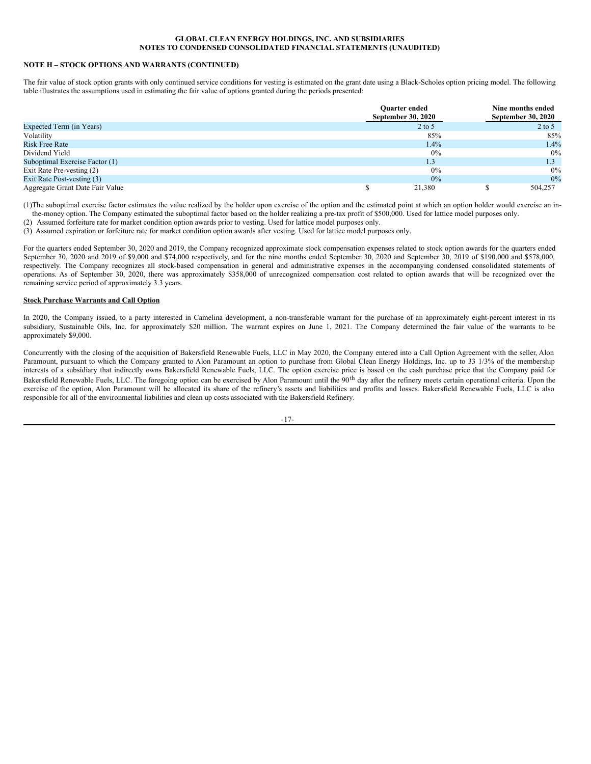# **NOTE H – STOCK OPTIONS AND WARRANTS (CONTINUED)**

The fair value of stock option grants with only continued service conditions for vesting is estimated on the grant date using a Black-Scholes option pricing model. The following table illustrates the assumptions used in estimating the fair value of options granted during the periods presented:

|                                 | <b>Ouarter ended</b><br><b>September 30, 2020</b> | Nine months ended<br><b>September 30, 2020</b> |
|---------------------------------|---------------------------------------------------|------------------------------------------------|
| Expected Term (in Years)        | $2$ to 5                                          | $2$ to 5                                       |
| Volatility                      | 85%                                               | 85%                                            |
| <b>Risk Free Rate</b>           | $1.4\%$                                           | 1.4%                                           |
| Dividend Yield                  | $0\%$                                             | $0\%$                                          |
| Suboptimal Exercise Factor (1)  | 1.3                                               | 1.3                                            |
| Exit Rate Pre-vesting (2)       | $0\%$                                             | $0\%$                                          |
| Exit Rate Post-vesting (3)      | 0%                                                | 0%                                             |
| Aggregate Grant Date Fair Value | 21.380                                            | 504.257                                        |

(1)The suboptimal exercise factor estimates the value realized by the holder upon exercise of the option and the estimated point at which an option holder would exercise an inthe-money option. The Company estimated the suboptimal factor based on the holder realizing a pre-tax profit of \$500,000. Used for lattice model purposes only.

(2) Assumed forfeiture rate for market condition option awards prior to vesting. Used for lattice model purposes only.

(3) Assumed expiration or forfeiture rate for market condition option awards after vesting. Used for lattice model purposes only.

For the quarters ended September 30, 2020 and 2019, the Company recognized approximate stock compensation expenses related to stock option awards for the quarters ended September 30, 2020 and 2019 of \$9,000 and \$74,000 respectively, and for the nine months ended September 30, 2020 and September 30, 2019 of \$190,000 and \$578,000, respectively. The Company recognizes all stock-based compensation in general and administrative expenses in the accompanying condensed consolidated statements of operations. As of September 30, 2020, there was approximately \$358,000 of unrecognized compensation cost related to option awards that will be recognized over the remaining service period of approximately 3.3 years.

# **Stock Purchase Warrants and Call Option**

In 2020, the Company issued, to a party interested in Camelina development, a non-transferable warrant for the purchase of an approximately eight-percent interest in its subsidiary, Sustainable Oils, Inc. for approximately \$20 million. The warrant expires on June 1, 2021. The Company determined the fair value of the warrants to be approximately \$9,000.

Concurrently with the closing of the acquisition of Bakersfield Renewable Fuels, LLC in May 2020, the Company entered into a Call Option Agreement with the seller, Alon Paramount, pursuant to which the Company granted to Alon Paramount an option to purchase from Global Clean Energy Holdings, Inc. up to 33 1/3% of the membership interests of a subsidiary that indirectly owns Bakersfield Renewable Fuels, LLC. The option exercise price is based on the cash purchase price that the Company paid for Bakersfield Renewable Fuels, LLC. The foregoing option can be exercised by Alon Paramount until the 90<sup>th</sup> day after the refinery meets certain operational criteria. Upon the exercise of the option, Alon Paramount will be allocated its share of the refinery's assets and liabilities and profits and losses. Bakersfield Renewable Fuels, LLC is also responsible for all of the environmental liabilities and clean up costs associated with the Bakersfield Refinery.

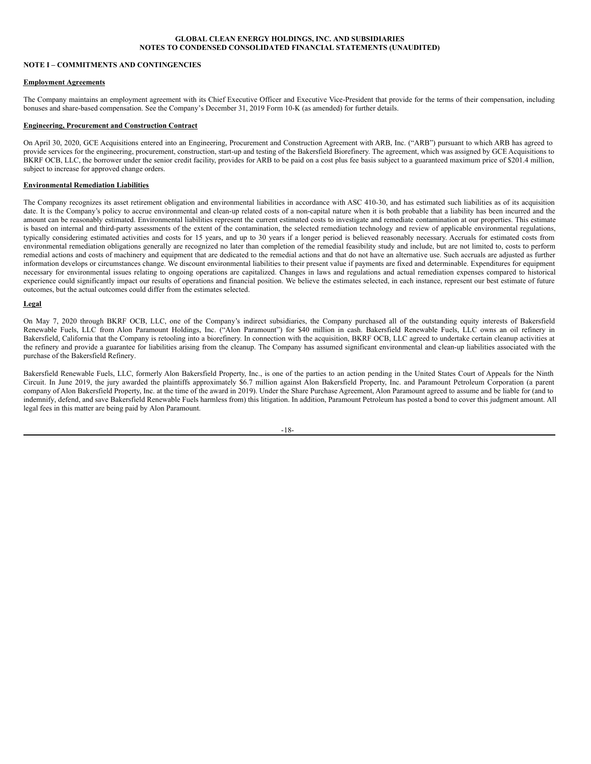# **NOTE I – COMMITMENTS AND CONTINGENCIES**

#### **Employment Agreements**

The Company maintains an employment agreement with its Chief Executive Officer and Executive Vice-President that provide for the terms of their compensation, including bonuses and share-based compensation. See the Company's December 31, 2019 Form 10-K (as amended) for further details.

# **Engineering, Procurement and Construction Contract**

On April 30, 2020, GCE Acquisitions entered into an Engineering, Procurement and Construction Agreement with ARB, Inc. ("ARB") pursuant to which ARB has agreed to provide services for the engineering, procurement, construction, start-up and testing of the Bakersfield Biorefinery. The agreement, which was assigned by GCE Acquisitions to BKRF OCB, LLC, the borrower under the senior credit facility, provides for ARB to be paid on a cost plus fee basis subject to a guaranteed maximum price of \$201.4 million, subject to increase for approved change orders.

# **Environmental Remediation Liabilities**

The Company recognizes its asset retirement obligation and environmental liabilities in accordance with ASC 410-30, and has estimated such liabilities as of its acquisition date. It is the Company's policy to accrue environmental and clean-up related costs of a non-capital nature when it is both probable that a liability has been incurred and the amount can be reasonably estimated. Environmental liabilities represent the current estimated costs to investigate and remediate contamination at our properties. This estimate is based on internal and third-party assessments of the extent of the contamination, the selected remediation technology and review of applicable environmental regulations, typically considering estimated activities and costs for 15 years, and up to 30 years if a longer period is believed reasonably necessary. Accruals for estimated costs from environmental remediation obligations generally are recognized no later than completion of the remedial feasibility study and include, but are not limited to, costs to perform remedial actions and costs of machinery and equipment that are dedicated to the remedial actions and that do not have an alternative use. Such accruals are adjusted as further information develops or circumstances change. We discount environmental liabilities to their present value if payments are fixed and determinable. Expenditures for equipment necessary for environmental issues relating to ongoing operations are capitalized. Changes in laws and regulations and actual remediation expenses compared to historical experience could significantly impact our results of operations and financial position. We believe the estimates selected, in each instance, represent our best estimate of future outcomes, but the actual outcomes could differ from the estimates selected.

#### **Legal**

On May 7, 2020 through BKRF OCB, LLC, one of the Company's indirect subsidiaries, the Company purchased all of the outstanding equity interests of Bakersfield Renewable Fuels, LLC from Alon Paramount Holdings, Inc. ("Alon Paramount") for \$40 million in cash. Bakersfield Renewable Fuels, LLC owns an oil refinery in Bakersfield, California that the Company is retooling into a biorefinery. In connection with the acquisition, BKRF OCB, LLC agreed to undertake certain cleanup activities at the refinery and provide a guarantee for liabilities arising from the cleanup. The Company has assumed significant environmental and clean-up liabilities associated with the purchase of the Bakersfield Refinery.

Bakersfield Renewable Fuels, LLC, formerly Alon Bakersfield Property, Inc., is one of the parties to an action pending in the United States Court of Appeals for the Ninth Circuit. In June 2019, the jury awarded the plaintiffs approximately \$6.7 million against Alon Bakersfield Property, Inc. and Paramount Petroleum Corporation (a parent company of Alon Bakersfield Property, Inc. at the time of the award in 2019). Under the Share Purchase Agreement, Alon Paramount agreed to assume and be liable for (and to indemnify, defend, and save Bakersfield Renewable Fuels harmless from) this litigation. In addition, Paramount Petroleum has posted a bond to cover this judgment amount. All legal fees in this matter are being paid by Alon Paramount.

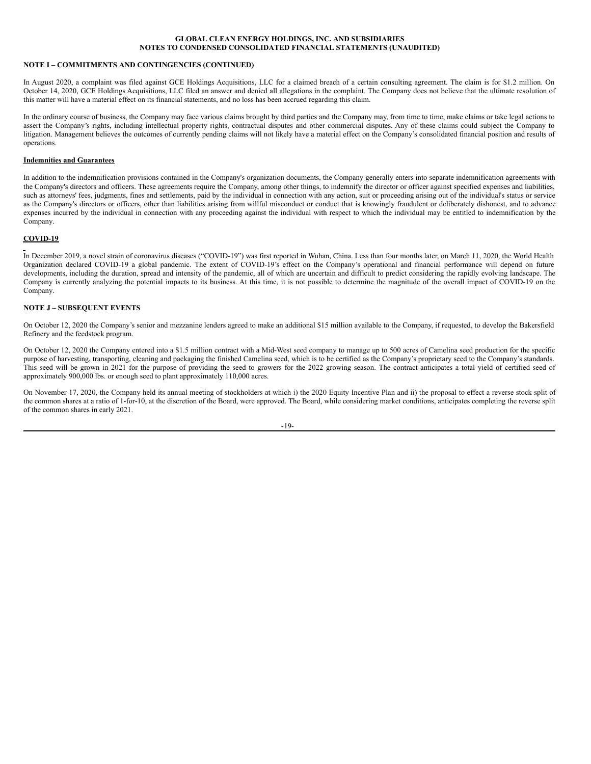# **NOTE I – COMMITMENTS AND CONTINGENCIES (CONTINUED)**

In August 2020, a complaint was filed against GCE Holdings Acquisitions, LLC for a claimed breach of a certain consulting agreement. The claim is for \$1.2 million. On October 14, 2020, GCE Holdings Acquisitions, LLC filed an answer and denied all allegations in the complaint. The Company does not believe that the ultimate resolution of this matter will have a material effect on its financial statements, and no loss has been accrued regarding this claim.

In the ordinary course of business, the Company may face various claims brought by third parties and the Company may, from time to time, make claims or take legal actions to assert the Company's rights, including intellectual property rights, contractual disputes and other commercial disputes. Any of these claims could subject the Company to litigation. Management believes the outcomes of currently pending claims will not likely have a material effect on the Company's consolidated financial position and results of operations.

# **Indemnities and Guarantees**

In addition to the indemnification provisions contained in the Company's organization documents, the Company generally enters into separate indemnification agreements with the Company's directors and officers. These agreements require the Company, among other things, to indemnify the director or officer against specified expenses and liabilities, such as attorneys' fees, judgments, fines and settlements, paid by the individual in connection with any action, suit or proceeding arising out of the individual's status or service as the Company's directors or officers, other than liabilities arising from willful misconduct or conduct that is knowingly fraudulent or deliberately dishonest, and to advance expenses incurred by the individual in connection with any proceeding against the individual with respect to which the individual may be entitled to indemnification by the Company.

# **COVID-19**

In December 2019, a novel strain of coronavirus diseases ("COVID-19") was first reported in Wuhan, China. Less than four months later, on March 11, 2020, the World Health Organization declared COVID-19 a global pandemic. The extent of COVID-19's effect on the Company's operational and financial performance will depend on future developments, including the duration, spread and intensity of the pandemic, all of which are uncertain and difficult to predict considering the rapidly evolving landscape. The Company is currently analyzing the potential impacts to its business. At this time, it is not possible to determine the magnitude of the overall impact of COVID-19 on the Company.

# **NOTE J – SUBSEQUENT EVENTS**

On October 12, 2020 the Company's senior and mezzanine lenders agreed to make an additional \$15 million available to the Company, if requested, to develop the Bakersfield Refinery and the feedstock program.

On October 12, 2020 the Company entered into a \$1.5 million contract with a Mid-West seed company to manage up to 500 acres of Camelina seed production for the specific purpose of harvesting, transporting, cleaning and packaging the finished Camelina seed, which is to be certified as the Company's proprietary seed to the Company's standards. This seed will be grown in 2021 for the purpose of providing the seed to growers for the 2022 growing season. The contract anticipates a total yield of certified seed of approximately 900,000 lbs. or enough seed to plant approximately 110,000 acres.

On November 17, 2020, the Company held its annual meeting of stockholders at which i) the 2020 Equity Incentive Plan and ii) the proposal to effect a reverse stock split of the common shares at a ratio of 1-for-10, at the discretion of the Board, were approved. The Board, while considering market conditions, anticipates completing the reverse split of the common shares in early 2021.

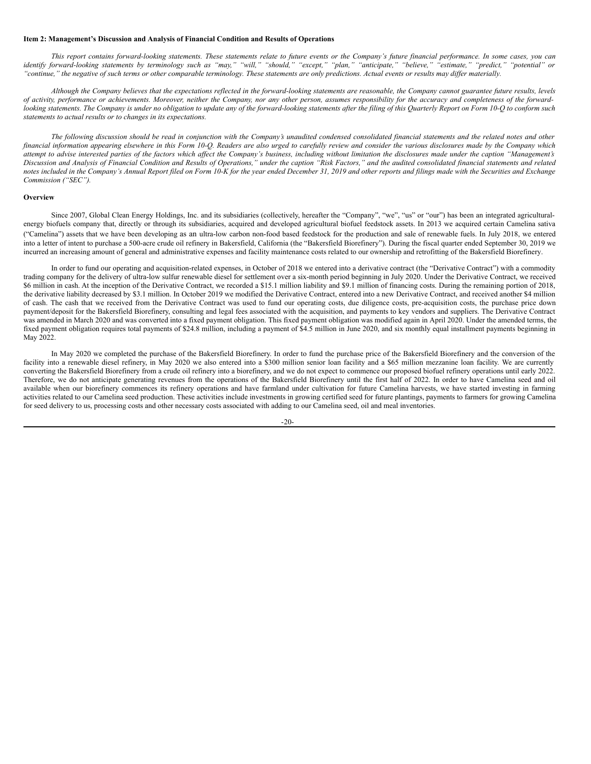#### **Item 2: Management's Discussion and Analysis of Financial Condition and Results of Operations**

This report contains forward-looking statements. These statements relate to future events or the Company's future financial performance. In some cases, you can identify forward-looking statements by terminology such as "may," "will," "should," "except," "plan," "anticipate," "believe," "estimate," "predict," "potential" or "continue," the negative of such terms or other comparable terminology. These statements are only predictions. Actual events or results may differ materially.

Although the Company believes that the expectations reflected in the forward-looking statements are reasonable, the Company cannot guarantee future results, levels of activity, performance or achievements. Moreover, neither the Company, nor any other person, assumes responsibility for the accuracy and completeness of the forwardlooking statements. The Company is under no obligation to update any of the forward-looking statements after the filing of this Quarterly Report on Form 10-Q to conform such *statements to actual results or to changes in its expectations.*

The following discussion should be read in conjunction with the Company's unaudited condensed consolidated financial statements and the related notes and other financial information appearing elsewhere in this Form 10-O. Readers are also urged to carefully review and consider the various disclosures made by the Company which attempt to advise interested parties of the factors which affect the Company's business, including without limitation the disclosures made under the caption "Management's Discussion and Analysis of Financial Condition and Results of Operations," under the caption "Risk Factors," and the audited consolidated financial statements and related notes included in the Company's Annual Report filed on Form 10-K for the year ended December 31, 2019 and other reports and filings made with the Securities and Exchange *Commission ("SEC").*

#### **Overview**

Since 2007, Global Clean Energy Holdings, Inc. and its subsidiaries (collectively, hereafter the "Company", "we", "us" or "our") has been an integrated agriculturalenergy biofuels company that, directly or through its subsidiaries, acquired and developed agricultural biofuel feedstock assets. In 2013 we acquired certain Camelina sativa ("Camelina") assets that we have been developing as an ultra-low carbon non-food based feedstock for the production and sale of renewable fuels. In July 2018, we entered into a letter of intent to purchase a 500-acre crude oil refinery in Bakersfield, California (the "Bakersfield Biorefinery"). During the fiscal quarter ended September 30, 2019 we incurred an increasing amount of general and administrative expenses and facility maintenance costs related to our ownership and retrofitting of the Bakersfield Biorefinery.

In order to fund our operating and acquisition-related expenses, in October of 2018 we entered into a derivative contract (the "Derivative Contract") with a commodity trading company for the delivery of ultra-low sulfur renewable diesel for settlement over a six-month period beginning in July 2020. Under the Derivative Contract, we received \$6 million in cash. At the inception of the Derivative Contract, we recorded a \$15.1 million liability and \$9.1 million of financing costs. During the remaining portion of 2018, the derivative liability decreased by \$3.1 million. In October 2019 we modified the Derivative Contract, entered into a new Derivative Contract, and received another \$4 million of cash. The cash that we received from the Derivative Contract was used to fund our operating costs, due diligence costs, pre-acquisition costs, the purchase price down payment/deposit for the Bakersfield Biorefinery, consulting and legal fees associated with the acquisition, and payments to key vendors and suppliers. The Derivative Contract was amended in March 2020 and was converted into a fixed payment obligation. This fixed payment obligation was modified again in April 2020. Under the amended terms, the fixed payment obligation requires total payments of \$24.8 million, including a payment of \$4.5 million in June 2020, and six monthly equal installment payments beginning in May 2022.

In May 2020 we completed the purchase of the Bakersfield Biorefinery. In order to fund the purchase price of the Bakersfield Biorefinery and the conversion of the facility into a renewable diesel refinery, in May 2020 we also entered into a \$300 million senior loan facility and a \$65 million mezzanine loan facility. We are currently converting the Bakersfield Biorefinery from a crude oil refinery into a biorefinery, and we do not expect to commence our proposed biofuel refinery operations until early 2022. Therefore, we do not anticipate generating revenues from the operations of the Bakersfield Biorefinery until the first half of 2022. In order to have Camelina seed and oil available when our biorefinery commences its refinery operations and have farmland under cultivation for future Camelina harvests, we have started investing in farming activities related to our Camelina seed production. These activities include investments in growing certified seed for future plantings, payments to farmers for growing Camelina for seed delivery to us, processing costs and other necessary costs associated with adding to our Camelina seed, oil and meal inventories.

-20-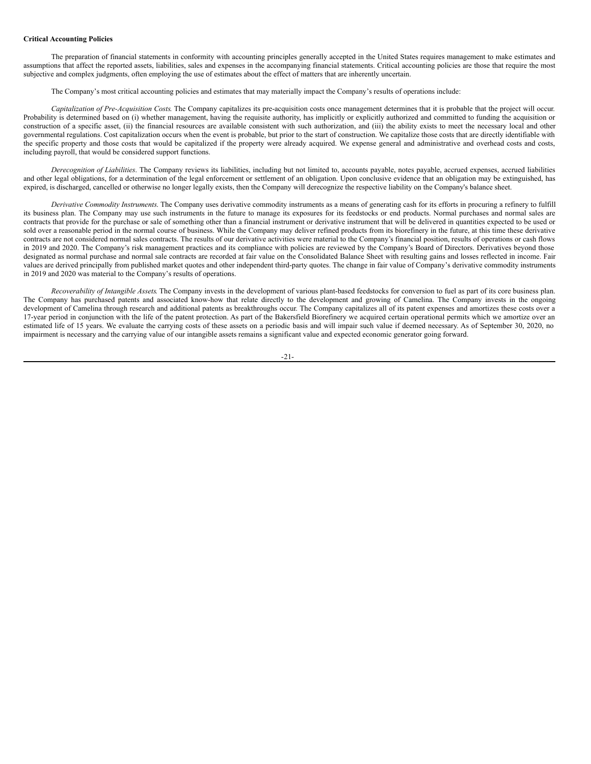#### **Critical Accounting Policies**

The preparation of financial statements in conformity with accounting principles generally accepted in the United States requires management to make estimates and assumptions that affect the reported assets, liabilities, sales and expenses in the accompanying financial statements. Critical accounting policies are those that require the most subjective and complex judgments, often employing the use of estimates about the effect of matters that are inherently uncertain.

The Company's most critical accounting policies and estimates that may materially impact the Company's results of operations include:

*Capitalization of Pre-Acquisition Costs*. The Company capitalizes its pre-acquisition costs once management determines that it is probable that the project will occur. Probability is determined based on (i) whether management, having the requisite authority, has implicitly or explicitly authorized and committed to funding the acquisition or construction of a specific asset, (ii) the financial resources are available consistent with such authorization, and (iii) the ability exists to meet the necessary local and other governmental regulations. Cost capitalization occurs when the event is probable, but prior to the start of construction. We capitalize those costs that are directly identifiable with the specific property and those costs that would be capitalized if the property were already acquired. We expense general and administrative and overhead costs and costs, including payroll, that would be considered support functions.

*Derecognition of Liabilities*. The Company reviews its liabilities, including but not limited to, accounts payable, notes payable, accrued expenses, accrued liabilities and other legal obligations, for a determination of the legal enforcement or settlement of an obligation. Upon conclusive evidence that an obligation may be extinguished, has expired, is discharged, cancelled or otherwise no longer legally exists, then the Company will derecognize the respective liability on the Company's balance sheet.

*Derivative Commodity Instruments*. The Company uses derivative commodity instruments as a means of generating cash for its efforts in procuring a refinery to fulfill its business plan. The Company may use such instruments in the future to manage its exposures for its feedstocks or end products. Normal purchases and normal sales are contracts that provide for the purchase or sale of something other than a financial instrument or derivative instrument that will be delivered in quantities expected to be used or sold over a reasonable period in the normal course of business. While the Company may deliver refined products from its biorefinery in the future, at this time these derivative contracts are not considered normal sales contracts. The results of our derivative activities were material to the Company's financial position, results of operations or cash flows in 2019 and 2020. The Company's risk management practices and its compliance with policies are reviewed by the Company's Board of Directors. Derivatives beyond those designated as normal purchase and normal sale contracts are recorded at fair value on the Consolidated Balance Sheet with resulting gains and losses reflected in income. Fair values are derived principally from published market quotes and other independent third-party quotes. The change in fair value of Company's derivative commodity instruments in 2019 and 2020 was material to the Company's results of operations.

*Recoverability of Intangible Assets*. The Company invests in the development of various plant-based feedstocks for conversion to fuel as part of its core business plan. The Company has purchased patents and associated know-how that relate directly to the development and growing of Camelina. The Company invests in the ongoing development of Camelina through research and additional patents as breakthroughs occur. The Company capitalizes all of its patent expenses and amortizes these costs over a 17-year period in conjunction with the life of the patent protection. As part of the Bakersfield Biorefinery we acquired certain operational permits which we amortize over an estimated life of 15 years. We evaluate the carrying costs of these assets on a periodic basis and will impair such value if deemed necessary. As of September 30, 2020, no impairment is necessary and the carrying value of our intangible assets remains a significant value and expected economic generator going forward.

-21-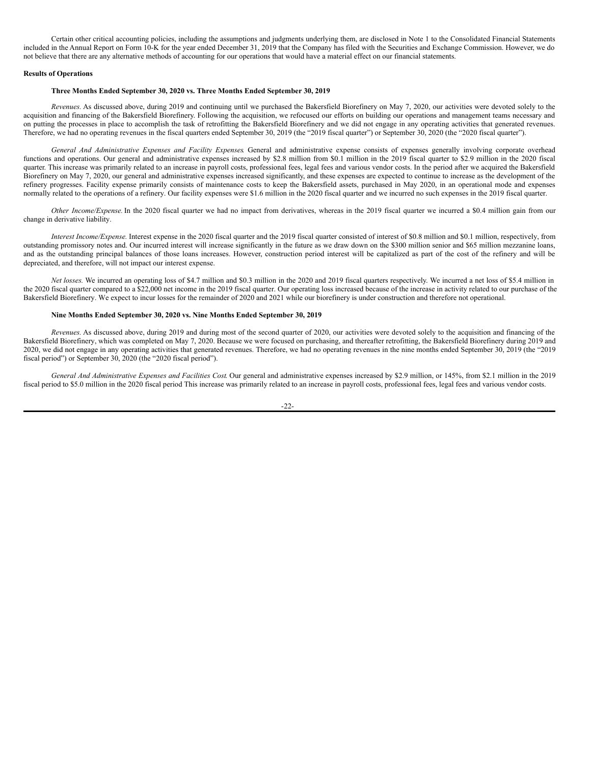Certain other critical accounting policies, including the assumptions and judgments underlying them, are disclosed in Note 1 to the Consolidated Financial Statements included in the Annual Report on Form 10-K for the year ended December 31, 2019 that the Company has filed with the Securities and Exchange Commission. However, we do not believe that there are any alternative methods of accounting for our operations that would have a material effect on our financial statements.

#### **Results of Operations**

# **Three Months Ended September 30, 2020 vs. Three Months Ended September 30, 2019**

*Revenues.* As discussed above, during 2019 and continuing until we purchased the Bakersfield Biorefinery on May 7, 2020, our activities were devoted solely to the acquisition and financing of the Bakersfield Biorefinery. Following the acquisition, we refocused our efforts on building our operations and management teams necessary and on putting the processes in place to accomplish the task of retrofitting the Bakersfield Biorefinery and we did not engage in any operating activities that generated revenues. Therefore, we had no operating revenues in the fiscal quarters ended September 30, 2019 (the "2019 fiscal quarter") or September 30, 2020 (the "2020 fiscal quarter").

*General And Administrative Expenses and Facility Expenses*. General and administrative expense consists of expenses generally involving corporate overhead functions and operations. Our general and administrative expenses increased by \$2.8 million from \$0.1 million in the 2019 fiscal quarter to \$2.9 million in the 2020 fiscal quarter. This increase was primarily related to an increase in payroll costs, professional fees, legal fees and various vendor costs. In the period after we acquired the Bakersfield Biorefinery on May 7, 2020, our general and administrative expenses increased significantly, and these expenses are expected to continue to increase as the development of the refinery progresses. Facility expense primarily consists of maintenance costs to keep the Bakersfield assets, purchased in May 2020, in an operational mode and expenses normally related to the operations of a refinery. Our facility expenses were \$1.6 million in the 2020 fiscal quarter and we incurred no such expenses in the 2019 fiscal quarter.

*Other Income/Expense.*In the 2020 fiscal quarter we had no impact from derivatives, whereas in the 2019 fiscal quarter we incurred a \$0.4 million gain from our change in derivative liability.

*Interest Income/Expense.* Interest expense in the 2020 fiscal quarter and the 2019 fiscal quarter consisted of interest of \$0.8 million and \$0.1 million, respectively, from outstanding promissory notes and. Our incurred interest will increase significantly in the future as we draw down on the \$300 million senior and \$65 million mezzanine loans, and as the outstanding principal balances of those loans increases. However, construction period interest will be capitalized as part of the cost of the refinery and will be depreciated, and therefore, will not impact our interest expense.

*Net losses.* We incurred an operating loss of \$4.7 million and \$0.3 million in the 2020 and 2019 fiscal quarters respectively. We incurred a net loss of \$5.4 million in the 2020 fiscal quarter compared to a \$22,000 net income in the 2019 fiscal quarter. Our operating loss increased because of the increase in activity related to our purchase of the Bakersfield Biorefinery. We expect to incur losses for the remainder of 2020 and 2021 while our biorefinery is under construction and therefore not operational.

#### **Nine Months Ended September 30, 2020 vs. Nine Months Ended September 30, 2019**

*Revenues.* As discussed above, during 2019 and during most of the second quarter of 2020, our activities were devoted solely to the acquisition and financing of the Bakersfield Biorefinery, which was completed on May 7, 2020. Because we were focused on purchasing, and thereafter retrofitting, the Bakersfield Biorefinery during 2019 and 2020, we did not engage in any operating activities that generated revenues. Therefore, we had no operating revenues in the nine months ended September 30, 2019 (the "2019 fiscal period") or September 30, 2020 (the "2020 fiscal period").

*General And Administrative Expenses and Facilities Cost*. Our general and administrative expenses increased by \$2.9 million, or 145%, from \$2.1 million in the 2019 fiscal period to \$5.0 million in the 2020 fiscal period This increase was primarily related to an increase in payroll costs, professional fees, legal fees and various vendor costs.

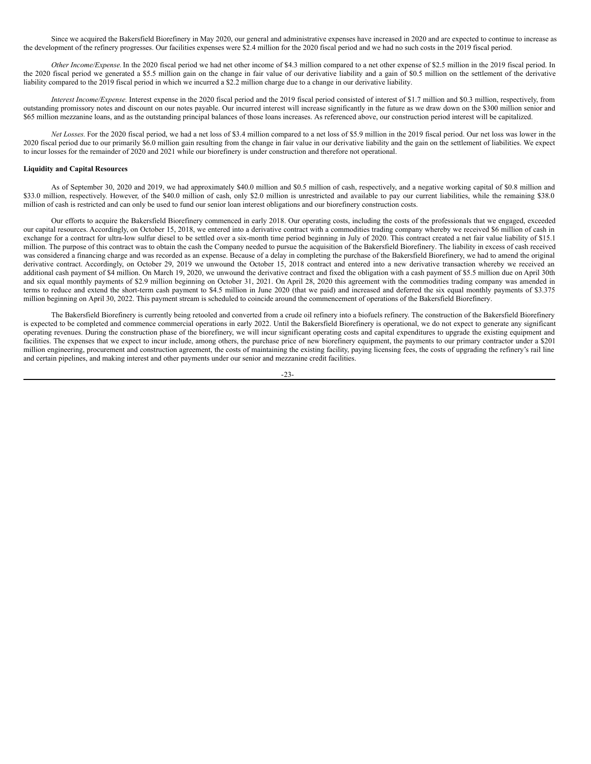Since we acquired the Bakersfield Biorefinery in May 2020, our general and administrative expenses have increased in 2020 and are expected to continue to increase as the development of the refinery progresses. Our facilities expenses were \$2.4 million for the 2020 fiscal period and we had no such costs in the 2019 fiscal period.

*Other Income/Expense.*In the 2020 fiscal period we had net other income of \$4.3 million compared to a net other expense of \$2.5 million in the 2019 fiscal period. In the 2020 fiscal period we generated a \$5.5 million gain on the change in fair value of our derivative liability and a gain of \$0.5 million on the settlement of the derivative liability compared to the 2019 fiscal period in which we incurred a \$2.2 million charge due to a change in our derivative liability.

*Interest Income/Expense.* Interest expense in the 2020 fiscal period and the 2019 fiscal period consisted of interest of \$1.7 million and \$0.3 million, respectively, from outstanding promissory notes and discount on our notes payable. Our incurred interest will increase significantly in the future as we draw down on the \$300 million senior and \$65 million mezzanine loans, and as the outstanding principal balances of those loans increases. As referenced above, our construction period interest will be capitalized.

*Net Losses.* For the 2020 fiscal period, we had a net loss of \$3.4 million compared to a net loss of \$5.9 million in the 2019 fiscal period. Our net loss was lower in the 2020 fiscal period due to our primarily \$6.0 million gain resulting from the change in fair value in our derivative liability and the gain on the settlement of liabilities. We expect to incur losses for the remainder of 2020 and 2021 while our biorefinery is under construction and therefore not operational.

# **Liquidity and Capital Resources**

As of September 30, 2020 and 2019, we had approximately \$40.0 million and \$0.5 million of cash, respectively, and a negative working capital of \$0.8 million and \$33.0 million, respectively. However, of the \$40.0 million of cash, only \$2.0 million is unrestricted and available to pay our current liabilities, while the remaining \$38.0 million of cash is restricted and can only be used to fund our senior loan interest obligations and our biorefinery construction costs.

Our efforts to acquire the Bakersfield Biorefinery commenced in early 2018. Our operating costs, including the costs of the professionals that we engaged, exceeded our capital resources. Accordingly, on October 15, 2018, we entered into a derivative contract with a commodities trading company whereby we received \$6 million of cash in exchange for a contract for ultra-low sulfur diesel to be settled over a six-month time period beginning in July of 2020. This contract created a net fair value liability of \$15.1 million. The purpose of this contract was to obtain the cash the Company needed to pursue the acquisition of the Bakersfield Biorefinery. The liability in excess of cash received was considered a financing charge and was recorded as an expense. Because of a delay in completing the purchase of the Bakersfield Biorefinery, we had to amend the original derivative contract. Accordingly, on October 29, 2019 we unwound the October 15, 2018 contract and entered into a new derivative transaction whereby we received an additional cash payment of \$4 million. On March 19, 2020, we unwound the derivative contract and fixed the obligation with a cash payment of \$5.5 million due on April 30th and six equal monthly payments of \$2.9 million beginning on October 31, 2021. On April 28, 2020 this agreement with the commodities trading company was amended in terms to reduce and extend the short-term cash payment to \$4.5 million in June 2020 (that we paid) and increased and deferred the six equal monthly payments of \$3.375 million beginning on April 30, 2022. This payment stream is scheduled to coincide around the commencement of operations of the Bakersfield Biorefinery.

The Bakersfield Biorefinery is currently being retooled and converted from a crude oil refinery into a biofuels refinery. The construction of the Bakersfield Biorefinery is expected to be completed and commence commercial operations in early 2022. Until the Bakersfield Biorefinery is operational, we do not expect to generate any significant operating revenues. During the construction phase of the biorefinery, we will incur significant operating costs and capital expenditures to upgrade the existing equipment and facilities. The expenses that we expect to incur include, among others, the purchase price of new biorefinery equipment, the payments to our primary contractor under a \$201 million engineering, procurement and construction agreement, the costs of maintaining the existing facility, paying licensing fees, the costs of upgrading the refinery's rail line and certain pipelines, and making interest and other payments under our senior and mezzanine credit facilities.

-23-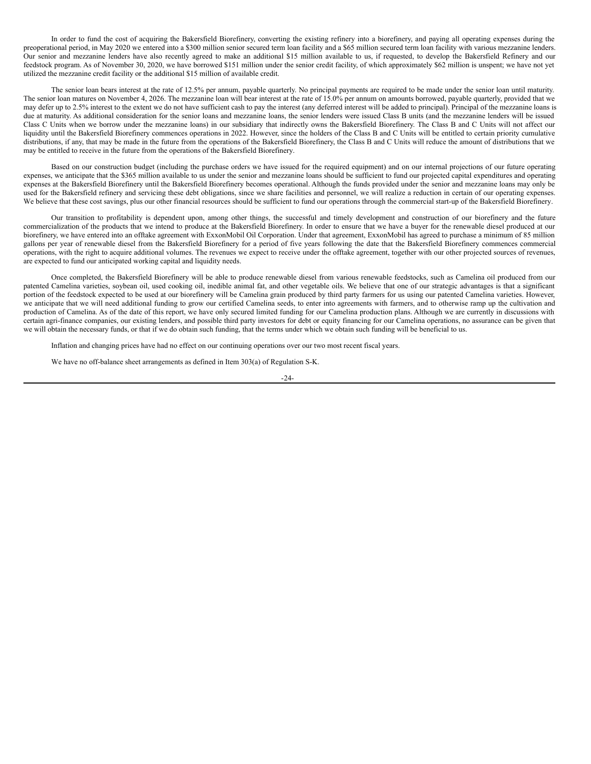In order to fund the cost of acquiring the Bakersfield Biorefinery, converting the existing refinery into a biorefinery, and paying all operating expenses during the preoperational period, in May 2020 we entered into a \$300 million senior secured term loan facility and a \$65 million secured term loan facility with various mezzanine lenders. Our senior and mezzanine lenders have also recently agreed to make an additional \$15 million available to us, if requested, to develop the Bakersfield Refinery and our feedstock program. As of November 30, 2020, we have borrowed \$151 million under the senior credit facility, of which approximately \$62 million is unspent; we have not yet utilized the mezzanine credit facility or the additional \$15 million of available credit.

The senior loan bears interest at the rate of 12.5% per annum, payable quarterly. No principal payments are required to be made under the senior loan until maturity. The senior loan matures on November 4, 2026. The mezzanine loan will bear interest at the rate of 15.0% per annum on amounts borrowed, payable quarterly, provided that we may defer up to 2.5% interest to the extent we do not have sufficient cash to pay the interest (any deferred interest will be added to principal). Principal of the mezzanine loans is due at maturity. As additional consideration for the senior loans and mezzanine loans, the senior lenders were issued Class B units (and the mezzanine lenders will be issued Class C Units when we borrow under the mezzanine loans) in our subsidiary that indirectly owns the Bakersfield Biorefinery. The Class B and C Units will not affect our liquidity until the Bakersfield Biorefinery commences operations in 2022. However, since the holders of the Class B and C Units will be entitled to certain priority cumulative distributions, if any, that may be made in the future from the operations of the Bakersfield Biorefinery, the Class B and C Units will reduce the amount of distributions that we may be entitled to receive in the future from the operations of the Bakersfield Biorefinery.

Based on our construction budget (including the purchase orders we have issued for the required equipment) and on our internal projections of our future operating expenses, we anticipate that the \$365 million available to us under the senior and mezzanine loans should be sufficient to fund our projected capital expenditures and operating expenses at the Bakersfield Biorefinery until the Bakersfield Biorefinery becomes operational. Although the funds provided under the senior and mezzanine loans may only be used for the Bakersfield refinery and servicing these debt obligations, since we share facilities and personnel, we will realize a reduction in certain of our operating expenses. We believe that these cost savings, plus our other financial resources should be sufficient to fund our operations through the commercial start-up of the Bakersfield Biorefinery.

Our transition to profitability is dependent upon, among other things, the successful and timely development and construction of our biorefinery and the future commercialization of the products that we intend to produce at the Bakersfield Biorefinery. In order to ensure that we have a buyer for the renewable diesel produced at our biorefinery, we have entered into an offtake agreement with ExxonMobil Oil Corporation. Under that agreement, ExxonMobil has agreed to purchase a minimum of 85 million gallons per year of renewable diesel from the Bakersfield Biorefinery for a period of five years following the date that the Bakersfield Biorefinery commences commercial operations, with the right to acquire additional volumes. The revenues we expect to receive under the offtake agreement, together with our other projected sources of revenues, are expected to fund our anticipated working capital and liquidity needs.

Once completed, the Bakersfield Biorefinery will be able to produce renewable diesel from various renewable feedstocks, such as Camelina oil produced from our patented Camelina varieties, soybean oil, used cooking oil, inedible animal fat, and other vegetable oils. We believe that one of our strategic advantages is that a significant portion of the feedstock expected to be used at our biorefinery will be Camelina grain produced by third party farmers for us using our patented Camelina varieties. However, we anticipate that we will need additional funding to grow our certified Camelina seeds, to enter into agreements with farmers, and to otherwise ramp up the cultivation and production of Camelina. As of the date of this report, we have only secured limited funding for our Camelina production plans. Although we are currently in discussions with certain agri-finance companies, our existing lenders, and possible third party investors for debt or equity financing for our Camelina operations, no assurance can be given that we will obtain the necessary funds, or that if we do obtain such funding, that the terms under which we obtain such funding will be beneficial to us.

Inflation and changing prices have had no effect on our continuing operations over our two most recent fiscal years.

We have no off-balance sheet arrangements as defined in Item 303(a) of Regulation S-K.

-24-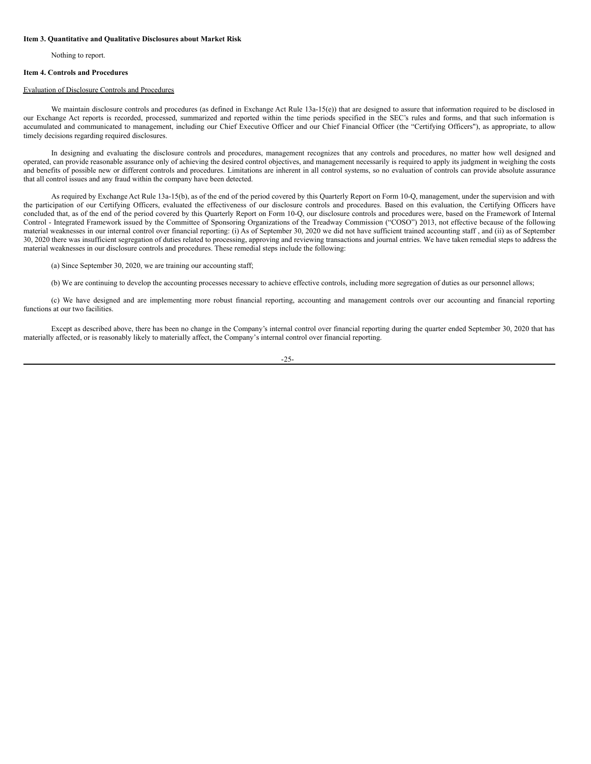#### **Item 3. Quantitative and Qualitative Disclosures about Market Risk**

Nothing to report.

# **Item 4. Controls and Procedures**

# Evaluation of Disclosure Controls and Procedures

We maintain disclosure controls and procedures (as defined in Exchange Act Rule  $13a-15(e)$ ) that are designed to assure that information required to be disclosed in our Exchange Act reports is recorded, processed, summarized and reported within the time periods specified in the SEC's rules and forms, and that such information is accumulated and communicated to management, including our Chief Executive Officer and our Chief Financial Officer (the "Certifying Officers"), as appropriate, to allow timely decisions regarding required disclosures.

In designing and evaluating the disclosure controls and procedures, management recognizes that any controls and procedures, no matter how well designed and operated, can provide reasonable assurance only of achieving the desired control objectives, and management necessarily is required to apply its judgment in weighing the costs and benefits of possible new or different controls and procedures. Limitations are inherent in all control systems, so no evaluation of controls can provide absolute assurance that all control issues and any fraud within the company have been detected.

As required by Exchange Act Rule 13a-15(b), as of the end of the period covered by this Quarterly Report on Form 10-Q, management, under the supervision and with the participation of our Certifying Officers, evaluated the effectiveness of our disclosure controls and procedures. Based on this evaluation, the Certifying Officers have concluded that, as of the end of the period covered by this Quarterly Report on Form 10-Q, our disclosure controls and procedures were, based on the Framework of Internal Control - Integrated Framework issued by the Committee of Sponsoring Organizations of the Treadway Commission ("COSO") 2013, not effective because of the following material weaknesses in our internal control over financial reporting: (i) As of September 30, 2020 we did not have sufficient trained accounting staff , and (ii) as of September 30, 2020 there was insufficient segregation of duties related to processing, approving and reviewing transactions and journal entries. We have taken remedial steps to address the material weaknesses in our disclosure controls and procedures. These remedial steps include the following:

#### (a) Since September 30, 2020, we are training our accounting staff;

(b) We are continuing to develop the accounting processes necessary to achieve effective controls, including more segregation of duties as our personnel allows;

(c) We have designed and are implementing more robust financial reporting, accounting and management controls over our accounting and financial reporting functions at our two facilities.

Except as described above, there has been no change in the Company's internal control over financial reporting during the quarter ended September 30, 2020 that has materially affected, or is reasonably likely to materially affect, the Company's internal control over financial reporting.

 $-25-$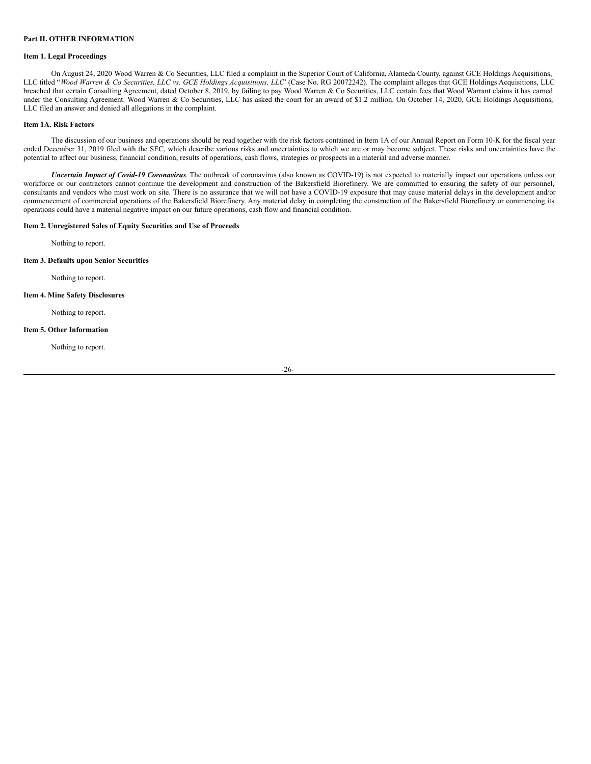# **Part II. OTHER INFORMATION**

#### **Item 1. Legal Proceedings**

On August 24, 2020 Wood Warren & Co Securities, LLC filed a complaint in the Superior Court of California, Alameda County, against GCE Holdings Acquisitions, LLC titled "Wood Warren & Co Securities, LLC vs. GCE Holdings Acquisitions, LLC' (Case No. RG 20072242). The complaint alleges that GCE Holdings Acquisitions, LLC breached that certain Consulting Agreement, dated October 8, 2019, by failing to pay Wood Warren & Co Securities, LLC certain fees that Wood Warrant claims it has earned under the Consulting Agreement. Wood Warren & Co Securities, LLC has asked the court for an award of \$1.2 million. On October 14, 2020, GCE Holdings Acquisitions, LLC filed an answer and denied all allegations in the complaint.

#### **Item 1A. Risk Factors**

The discussion of our business and operations should be read together with the risk factors contained in Item 1A of our Annual Report on Form 10-K for the fiscal year ended December 31, 2019 filed with the SEC, which describe various risks and uncertainties to which we are or may become subject. These risks and uncertainties have the potential to affect our business, financial condition, results of operations, cash flows, strategies or prospects in a material and adverse manner.

*Uncertain Impact of Covid-19 Coronavirus*. The outbreak of coronavirus (also known as COVID-19) is not expected to materially impact our operations unless our workforce or our contractors cannot continue the development and construction of the Bakersfield Biorefinery. We are committed to ensuring the safety of our personnel, consultants and vendors who must work on site. There is no assurance that we will not have a COVID-19 exposure that may cause material delays in the development and/or commencement of commercial operations of the Bakersfield Biorefinery. Any material delay in completing the construction of the Bakersfield Biorefinery or commencing its operations could have a material negative impact on our future operations, cash flow and financial condition.

#### **Item 2. Unregistered Sales of Equity Securities and Use of Proceeds**

Nothing to report.

# **Item 3. Defaults upon Senior Securities**

Nothing to report.

# **Item 4. Mine Safety Disclosures**

Nothing to report.

#### **Item 5. Other Information**

Nothing to report.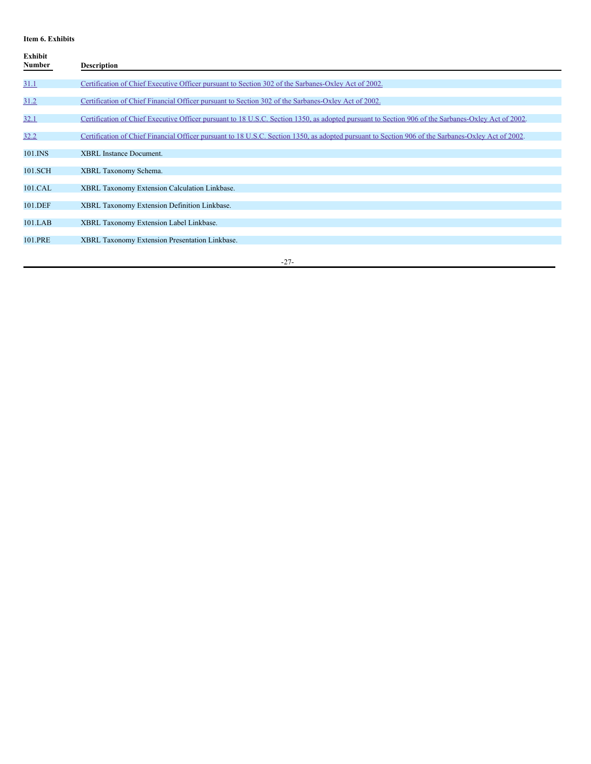**Item 6. Exhibits**

| Exhibit<br><b>Number</b> | <b>Description</b>                                                                                                                                 |
|--------------------------|----------------------------------------------------------------------------------------------------------------------------------------------------|
| 31.1                     | Certification of Chief Executive Officer pursuant to Section 302 of the Sarbanes-Oxley Act of 2002.                                                |
| 31.2                     | Certification of Chief Financial Officer pursuant to Section 302 of the Sarbanes-Oxley Act of 2002.                                                |
| 32.1                     | Certification of Chief Executive Officer pursuant to 18 U.S.C. Section 1350, as adopted pursuant to Section 906 of the Sarbanes-Oxley Act of 2002. |
| 32.2                     | Certification of Chief Financial Officer pursuant to 18 U.S.C. Section 1350, as adopted pursuant to Section 906 of the Sarbanes-Oxley Act of 2002. |
| 101.INS                  | <b>XBRL</b> Instance Document.                                                                                                                     |
| 101.SCH                  | XBRL Taxonomy Schema.                                                                                                                              |
| 101.CAL                  | XBRL Taxonomy Extension Calculation Linkbase.                                                                                                      |
| 101.DEF                  | XBRL Taxonomy Extension Definition Linkbase.                                                                                                       |
| $101$ .LAB               | XBRL Taxonomy Extension Label Linkbase.                                                                                                            |
| 101.PRE                  | XBRL Taxonomy Extension Presentation Linkbase.                                                                                                     |

-27-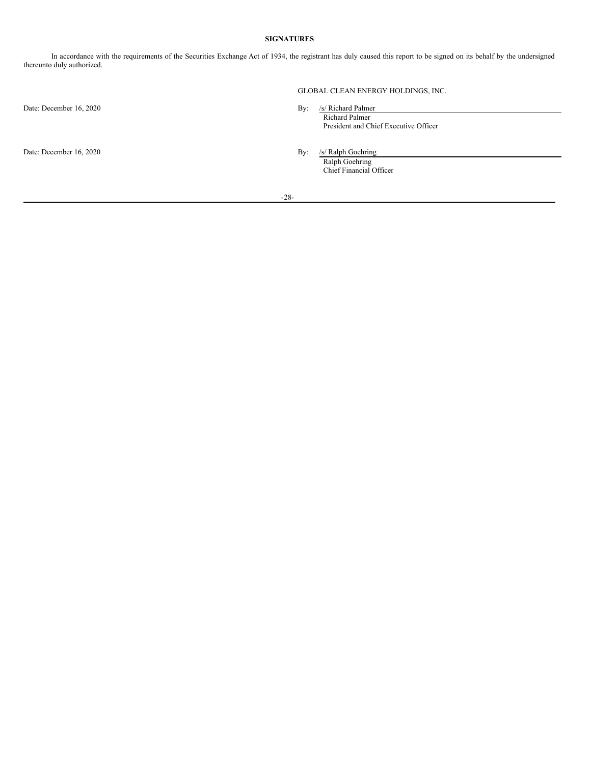# **SIGNATURES**

In accordance with the requirements of the Securities Exchange Act of 1934, the registrant has duly caused this report to be signed on its behalf by the undersigned thereunto duly authorized.

GLOBAL CLEAN ENERGY HOLDINGS, INC. Date: December 16, 2020 By: /s/ Richard Palmer Richard Palmer President and Chief Executive Officer Date: December 16, 2020 By: /s/ Ralph Goehring Ralph Goehring Chief Financial Officer -28-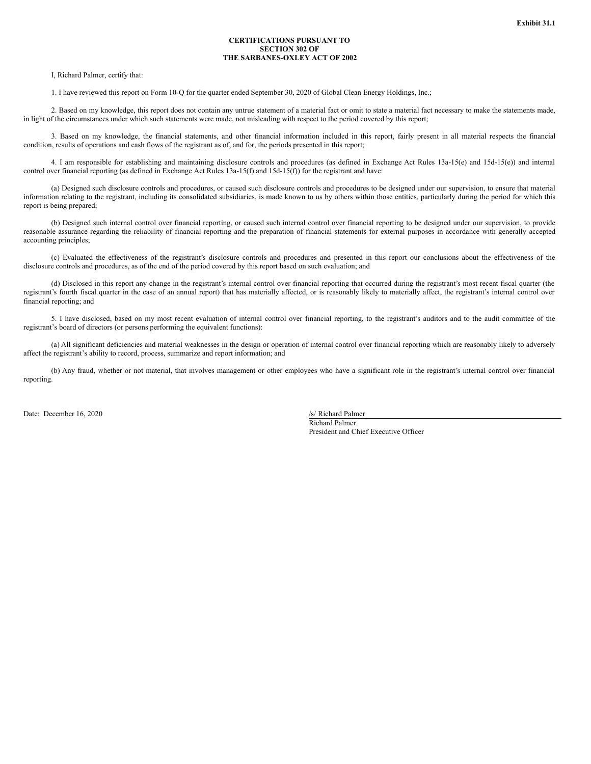# **CERTIFICATIONS PURSUANT TO SECTION 302 OF THE SARBANES-OXLEY ACT OF 2002**

<span id="page-29-0"></span>I, Richard Palmer, certify that:

1. I have reviewed this report on Form 10-Q for the quarter ended September 30, 2020 of Global Clean Energy Holdings, Inc.;

2. Based on my knowledge, this report does not contain any untrue statement of a material fact or omit to state a material fact necessary to make the statements made, in light of the circumstances under which such statements were made, not misleading with respect to the period covered by this report;

3. Based on my knowledge, the financial statements, and other financial information included in this report, fairly present in all material respects the financial condition, results of operations and cash flows of the registrant as of, and for, the periods presented in this report;

4. I am responsible for establishing and maintaining disclosure controls and procedures (as defined in Exchange Act Rules 13a-15(e) and 15d-15(e)) and internal control over financial reporting (as defined in Exchange Act Rules 13a-15(f) and 15d-15(f)) for the registrant and have:

(a) Designed such disclosure controls and procedures, or caused such disclosure controls and procedures to be designed under our supervision, to ensure that material information relating to the registrant, including its consolidated subsidiaries, is made known to us by others within those entities, particularly during the period for which this report is being prepared;

(b) Designed such internal control over financial reporting, or caused such internal control over financial reporting to be designed under our supervision, to provide reasonable assurance regarding the reliability of financial reporting and the preparation of financial statements for external purposes in accordance with generally accepted accounting principles;

(c) Evaluated the effectiveness of the registrant's disclosure controls and procedures and presented in this report our conclusions about the effectiveness of the disclosure controls and procedures, as of the end of the period covered by this report based on such evaluation; and

(d) Disclosed in this report any change in the registrant's internal control over financial reporting that occurred during the registrant's most recent fiscal quarter (the registrant's fourth fiscal quarter in the case of an annual report) that has materially affected, or is reasonably likely to materially affect, the registrant's internal control over financial reporting; and

5. I have disclosed, based on my most recent evaluation of internal control over financial reporting, to the registrant's auditors and to the audit committee of the registrant's board of directors (or persons performing the equivalent functions):

(a) All significant deficiencies and material weaknesses in the design or operation of internal control over financial reporting which are reasonably likely to adversely affect the registrant's ability to record, process, summarize and report information; and

(b) Any fraud, whether or not material, that involves management or other employees who have a significant role in the registrant's internal control over financial reporting.

Date: December 16, 2020 /s/ Richard Palmer

Richard Palmer President and Chief Executive Officer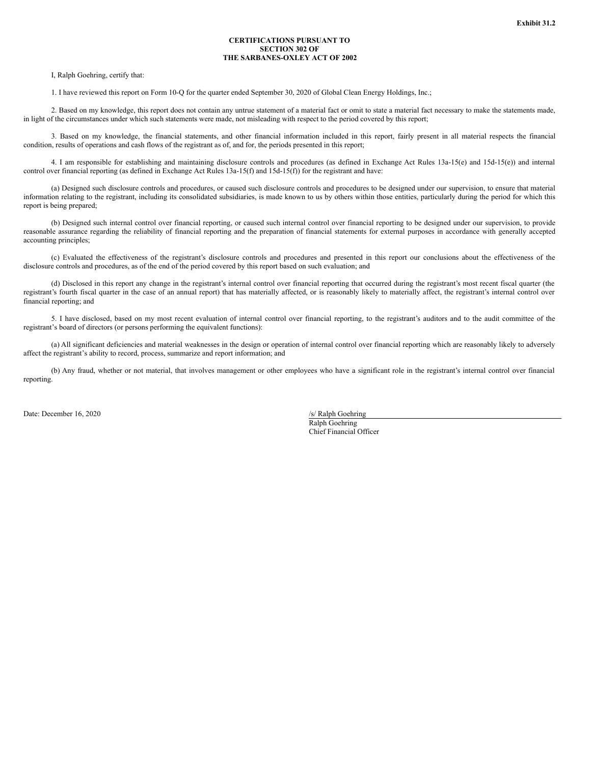# **CERTIFICATIONS PURSUANT TO SECTION 302 OF THE SARBANES-OXLEY ACT OF 2002**

<span id="page-30-0"></span>I, Ralph Goehring, certify that:

1. I have reviewed this report on Form 10-Q for the quarter ended September 30, 2020 of Global Clean Energy Holdings, Inc.;

2. Based on my knowledge, this report does not contain any untrue statement of a material fact or omit to state a material fact necessary to make the statements made, in light of the circumstances under which such statements were made, not misleading with respect to the period covered by this report;

3. Based on my knowledge, the financial statements, and other financial information included in this report, fairly present in all material respects the financial condition, results of operations and cash flows of the registrant as of, and for, the periods presented in this report;

4. I am responsible for establishing and maintaining disclosure controls and procedures (as defined in Exchange Act Rules 13a-15(e) and 15d-15(e)) and internal control over financial reporting (as defined in Exchange Act Rules 13a-15(f) and 15d-15(f)) for the registrant and have:

(a) Designed such disclosure controls and procedures, or caused such disclosure controls and procedures to be designed under our supervision, to ensure that material information relating to the registrant, including its consolidated subsidiaries, is made known to us by others within those entities, particularly during the period for which this report is being prepared;

(b) Designed such internal control over financial reporting, or caused such internal control over financial reporting to be designed under our supervision, to provide reasonable assurance regarding the reliability of financial reporting and the preparation of financial statements for external purposes in accordance with generally accepted accounting principles;

(c) Evaluated the effectiveness of the registrant's disclosure controls and procedures and presented in this report our conclusions about the effectiveness of the disclosure controls and procedures, as of the end of the period covered by this report based on such evaluation; and

(d) Disclosed in this report any change in the registrant's internal control over financial reporting that occurred during the registrant's most recent fiscal quarter (the registrant's fourth fiscal quarter in the case of an annual report) that has materially affected, or is reasonably likely to materially affect, the registrant's internal control over financial reporting; and

5. I have disclosed, based on my most recent evaluation of internal control over financial reporting, to the registrant's auditors and to the audit committee of the registrant's board of directors (or persons performing the equivalent functions):

(a) All significant deficiencies and material weaknesses in the design or operation of internal control over financial reporting which are reasonably likely to adversely affect the registrant's ability to record, process, summarize and report information; and

(b) Any fraud, whether or not material, that involves management or other employees who have a significant role in the registrant's internal control over financial reporting.

Date: December 16, 2020 /s/ Ralph Goehring

Ralph Goehring Chief Financial Officer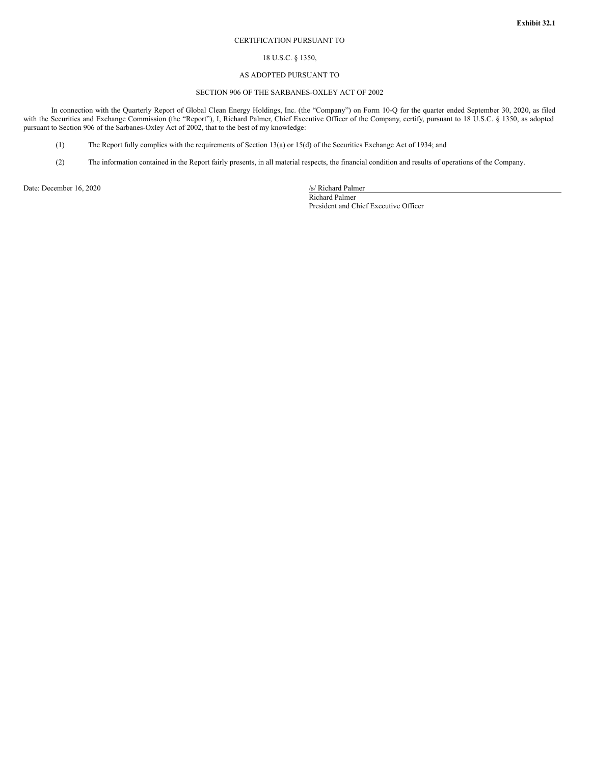#### CERTIFICATION PURSUANT TO

#### 18 U.S.C. § 1350,

# AS ADOPTED PURSUANT TO

# SECTION 906 OF THE SARBANES-OXLEY ACT OF 2002

<span id="page-31-0"></span>In connection with the Quarterly Report of Global Clean Energy Holdings, Inc. (the "Company") on Form 10-Q for the quarter ended September 30, 2020, as filed with the Securities and Exchange Commission (the "Report"), I, Richard Palmer, Chief Executive Officer of the Company, certify, pursuant to 18 U.S.C. § 1350, as adopted pursuant to Section 906 of the Sarbanes-Oxley Act of 2002, that to the best of my knowledge:

- (1) The Report fully complies with the requirements of Section 13(a) or 15(d) of the Securities Exchange Act of 1934; and
- (2) The information contained in the Report fairly presents, in all material respects, the financial condition and results of operations of the Company.

Date: December 16, 2020 /s/ Richard Palmer

Richard Palmer President and Chief Executive Officer